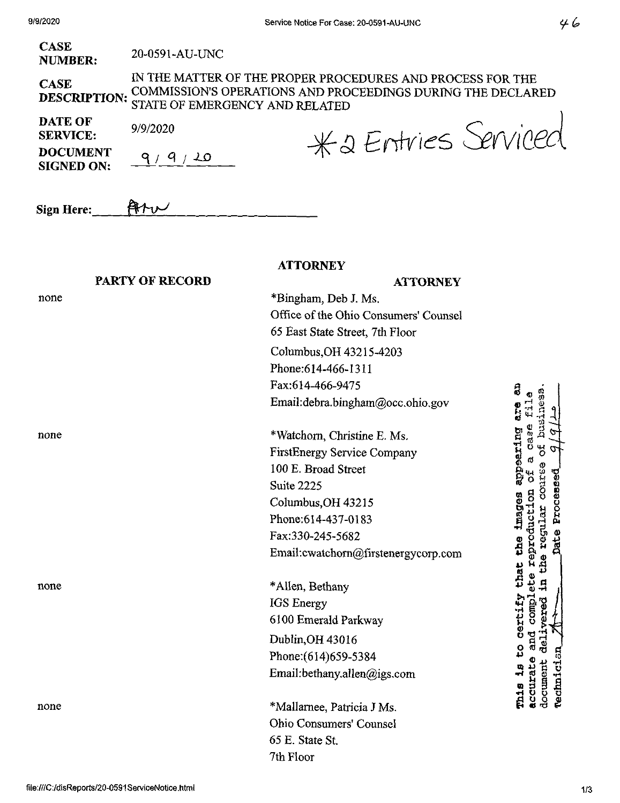CASE<br>NUMBER: 20-0591-AU-UNC

CASE IN THE MATTER OF THE PROPER PROCEDURES AND PROCESS FOR THE **DESCRIPTION:** COMMISSION'S OPERATIONS AND PROCEEDINGS DURING THE DECLARED STATE OF EMERGENCY AND RELATED

| DATE OF<br><b>SERVICE:</b>    | 9/9/2020 |
|-------------------------------|----------|
| <b>DOCUMENT</b><br>SIGNED ON: | 9/9/10   |

**PARTY OF RECORD**

\* 2 Entries Serviced

**ATTORNEY** 

Atu **Sign Here:**

### ATTORNEY

\*Bingham, Deb J. Ms.

65 East State Street, 7th Floor

Columbus,OH 43215-4203

\*Watchom, Christine E. Ms. FirstEnergy Service Company

Phone:614-466-1311 Fax:614-466-9475

100 E. Broad Street

Columbus,OH 43215 Phone:614-437-0183 Fax:330-245-5682

\*Allen, Bethany

Dublin,OH 43016 Phone:(614)659-5384

65 E. State St.

7th Floor

6100 Emerald Parkway

Email:bethany.allen@igs.com

\*Mallamee, Patricia J Ms. Ohio Consumers' Counsel

IGS Energy

Suite 2225

Office of the Ohio Consumers' Counsel

Email:debra.bingham@occ.ohio,gov

Email:cwatchom@firstenergycorp.com

none

none

none

none

នី cusiness appearing are ہے<br>1<br>44 Case ۵ď Processee mis is to certify that the images reproducti the regular Date  $\texttt{complete}$ and accurate rechnici document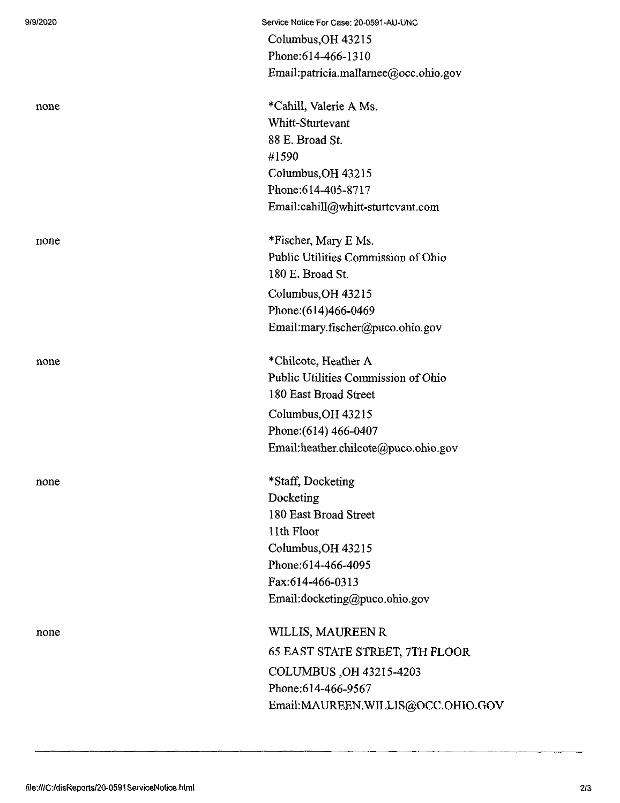| 9/9/2020 | Service Notice For Case: 20-0591-AU-UNC |
|----------|-----------------------------------------|
|          | Columbus, OH 43215                      |
|          | Phone: 614-466-1310                     |
|          | Email:patricia.mallarnee@occ.ohio.gov   |
| none     | *Cahill, Valerie A Ms.                  |
|          | Whitt-Sturtevant                        |
|          | 88 E. Broad St.                         |
|          | #1590                                   |
|          | Columbus, OH 43215                      |
|          | Phone: 614-405-8717                     |
|          | Email:cahill@whitt-sturtevant.com       |
| none     | *Fischer, Mary E Ms.                    |
|          | Public Utilities Commission of Ohio     |
|          | 180 E. Broad St.                        |
|          | Columbus, OH 43215                      |
|          | Phone: (614)466-0469                    |
|          | Email:mary.fischer@puco.ohio.gov        |
| none     | *Chilcote, Heather A                    |
|          | Public Utilities Commission of Ohio     |
|          | 180 East Broad Street                   |
|          | Columbus, OH 43215                      |
|          | Phone: (614) 466-0407                   |
|          | Email:heather.chilcote@puco.ohio.gov    |
| none     | *Staff, Docketing                       |
|          | Docketing                               |
|          | 180 East Broad Street                   |
|          | 11th Floor                              |
|          | Columbus, OH 43215                      |
|          | Phone: 614-466-4095                     |
|          | Fax:614-466-0313                        |
|          | Email:docketing@puco.ohio.gov           |
| none     | WILLIS, MAUREEN R                       |
|          | 65 EAST STATE STREET, 7TH FLOOR         |
|          | COLUMBUS, OH 43215-4203                 |
|          | Phone: 614-466-9567                     |
|          | Email:MAUREEN.WILLIS@OCC.OHIO.GOV       |
|          |                                         |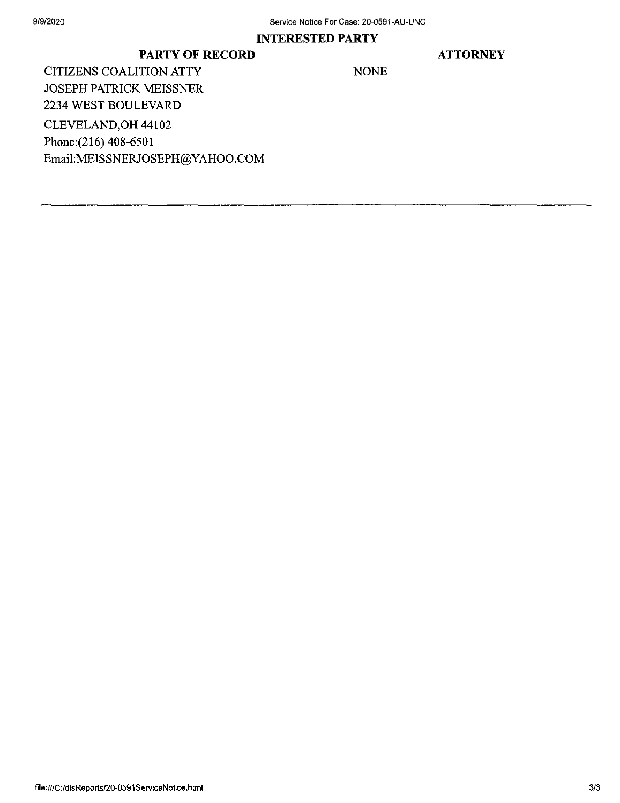### **INTERESTED PARTY**

### **PARTY OF RECORD**

### **ATTORNEY**

CITIZENS COALITION ATTY NONE JOSEPH PATRICK MEISSNER 2234 WEST BOULEVARD CLEVELAND,OH 44102 Phone:(216) 408-6501 Email:MEISSNERJOSEPH@YAHOO.COM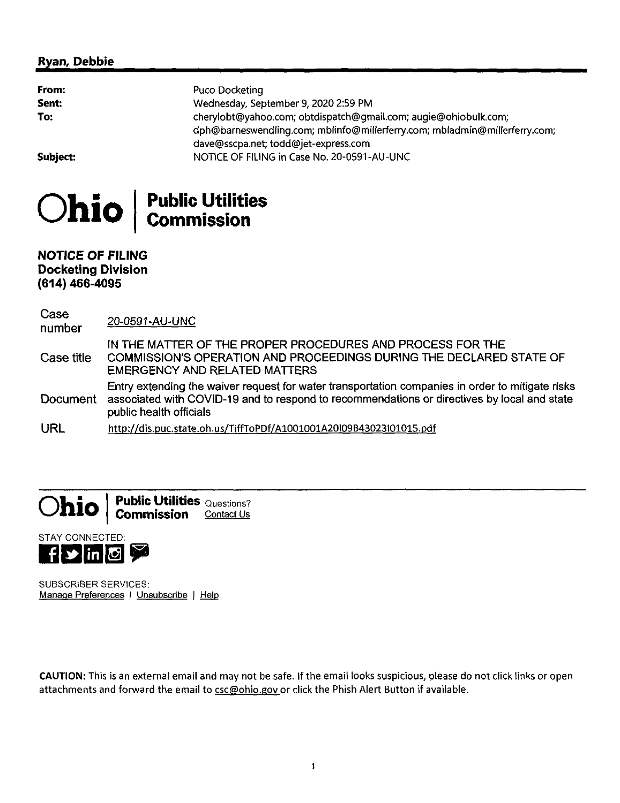## **Ryan, Debbie**

| From:    | Puco Docketing                                                             |
|----------|----------------------------------------------------------------------------|
| Sent:    | Wednesday, September 9, 2020 2:59 PM                                       |
| To:      | cherylobt@yahoo.com; obtdispatch@gmail.com; augie@ohiobulk.com;            |
|          | dph@barneswendling.com; mblinfo@millerferry.com; mbladmin@millerferry.com; |
|          | dave@sscpa.net; todd@jet-express.com                                       |
| Subject: | NOTICE OF FILING in Case No. 20-0591-AU-UNC                                |

# **Ohio Public Utilities Commission**

**NOTICE OF FILING Docketing Division (614) 466-4095**

| Case<br>number | 20-0591-AU-UNC                                                                                                                                                                                                             |
|----------------|----------------------------------------------------------------------------------------------------------------------------------------------------------------------------------------------------------------------------|
| Case title     | IN THE MATTER OF THE PROPER PROCEDURES AND PROCESS FOR THE<br>COMMISSION'S OPERATION AND PROCEEDINGS DURING THE DECLARED STATE OF<br><b>EMERGENCY AND RELATED MATTERS</b>                                                  |
| Document       | Entry extending the waiver request for water transportation companies in order to mitigate risks<br>associated with COVID-19 and to respond to recommendations or directives by local and state<br>public health officials |
| <b>URL</b>     | http://dis.puc.state.oh.us/TiffToPDf/A1001001A20l09B43023I01015.pdf                                                                                                                                                        |





SUBSCRIBER SERVICES: Manage Preferences | Unsubscribe | Help

CAUTION: This is an external email and may not be safe. If the email looks suspicious, please do not click links or open attachments and forward the email to csc@ohio.gov or click the Phish Alert Button if available.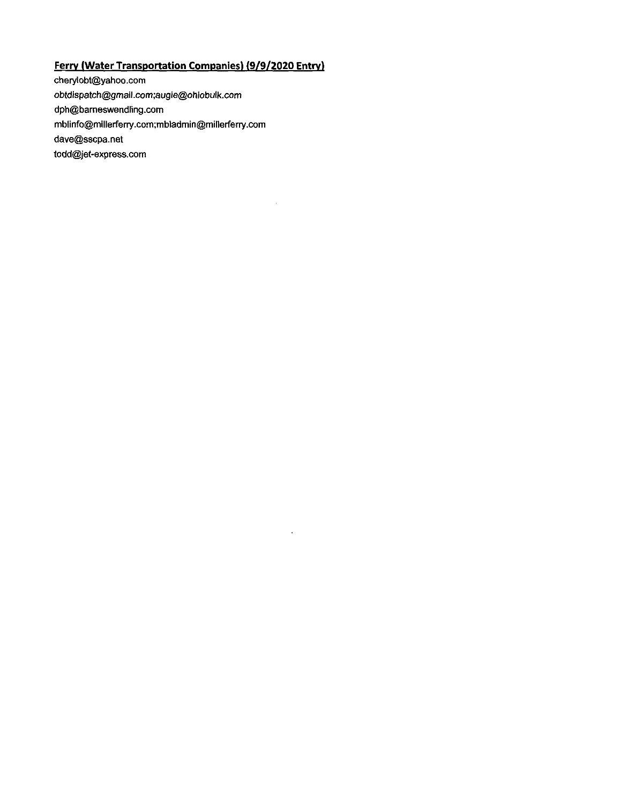## **Ferry (Water Transportation Companies^ (9/9/2020 Entry)**

 $\langle \cdot \rangle$ 

 $\ddot{\phantom{a}}$ 

cherylobt@yahoo.com obtdispatch@gmail.com;augie@ohiobulk.com dph@bameswendling.com mb!info@millerferry.com;mbladmin@millerferry.com dave@sscpa.net todd@jet-express.com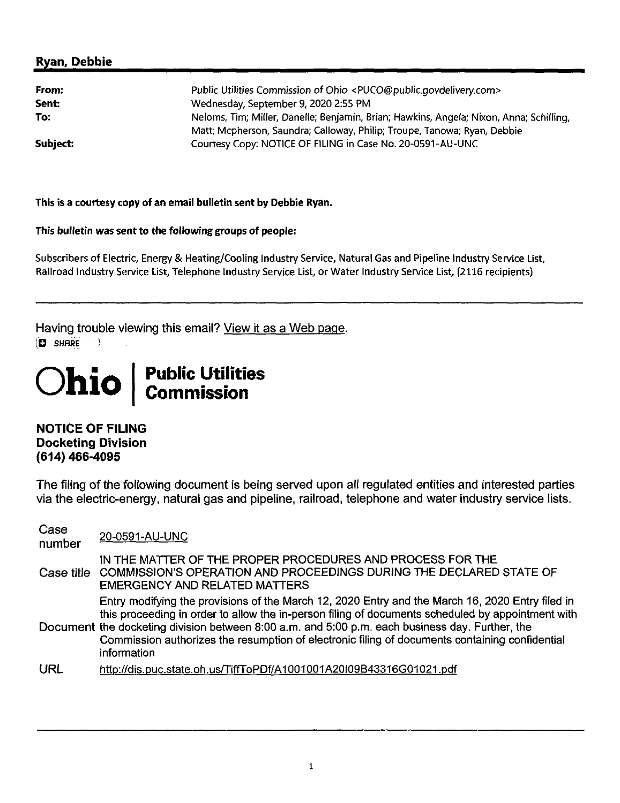## **Ryan, Debbie**

| From:    | Public Utilities Commission of Ohio <puco@public.govdelivery.com></puco@public.govdelivery.com> |
|----------|-------------------------------------------------------------------------------------------------|
| Sent:    | Wednesday, September 9, 2020 2:55 PM                                                            |
| To:      | Neloms, Tim; Miller, Danelle; Benjamin, Brian; Hawkins, Angela; Nixon, Anna; Schilling,         |
|          | Matt; Mcpherson, Saundra; Calloway, Philip; Troupe, Tanowa; Ryan, Debbie                        |
| Subject: | Courtesy Copy: NOTICE OF FILING in Case No. 20-0591-AU-UNC                                      |

This is a courtesy copy of an email bulletin sent by Debbie Ryan.

This bulletin was sent to the following groups of people:

Subscribers of Electric, Energy & Heating/Cooling Industry Service, Natural Gas and Pipeline Industry Service List, Railroad Industry Service List, Telephone Industry Service List, or Water Industry Service List, (2116 recipients)

Having trouble viewing this email? View it as a Web page. **!0 SHBRE**

## **Ohio Public Utilities Commission**

**NOTICE OF FILING Docketing Division (614) 466-4095**

The filing of the following document is being served upon all regulated entities and interested parties via the electric-energy, natural gas and pipeline, railroad, telephone and water industry service lists.

| Case<br>number | 20-0591-AU-UNC                                                                                                                                                                                                                                                                                                                                                                                                            |
|----------------|---------------------------------------------------------------------------------------------------------------------------------------------------------------------------------------------------------------------------------------------------------------------------------------------------------------------------------------------------------------------------------------------------------------------------|
|                | IN THE MATTER OF THE PROPER PROCEDURES AND PROCESS FOR THE<br>Case title COMMISSION'S OPERATION AND PROCEEDINGS DURING THE DECLARED STATE OF<br><b>EMERGENCY AND RELATED MATTERS</b>                                                                                                                                                                                                                                      |
|                | Entry modifying the provisions of the March 12, 2020 Entry and the March 16, 2020 Entry filed in<br>this proceeding in order to allow the in-person filing of documents scheduled by appointment with<br>Document the docketing division between 8:00 a.m. and 5:00 p.m. each business day. Further, the<br>Commission authorizes the resumption of electronic filing of documents containing confidential<br>information |
| URL            | http://dis.puc.state.oh.us/TiffToPDf/A1001001A20I09B43316G01021.pdf                                                                                                                                                                                                                                                                                                                                                       |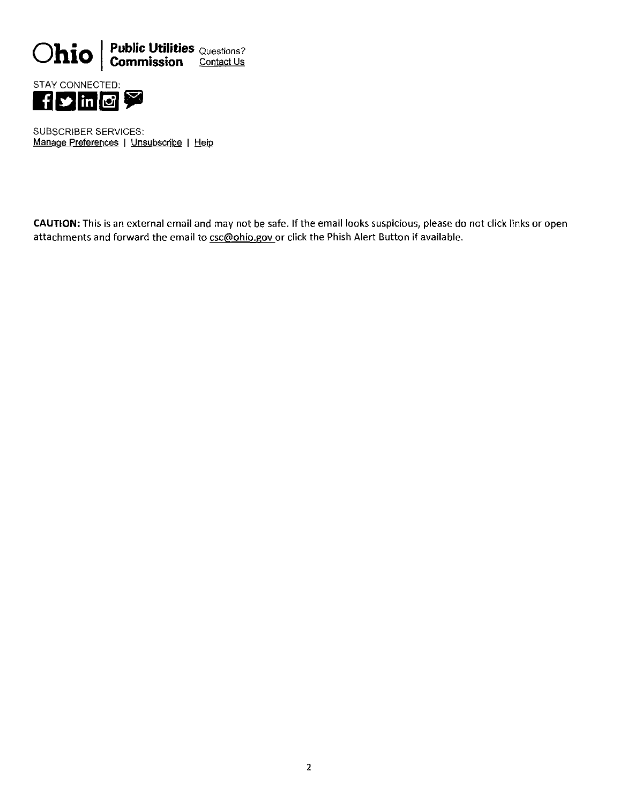



SUBSCRIBER SERVICES: Manage Preferences <sup>|</sup> Unsubscribe <sup>|</sup> Help

CAUTION: This is an external email and may not be safe. If the email looks suspicious, please do not click links or open attachments and forward the email to csc@ohio.gov or click the Phish Alert Button if available.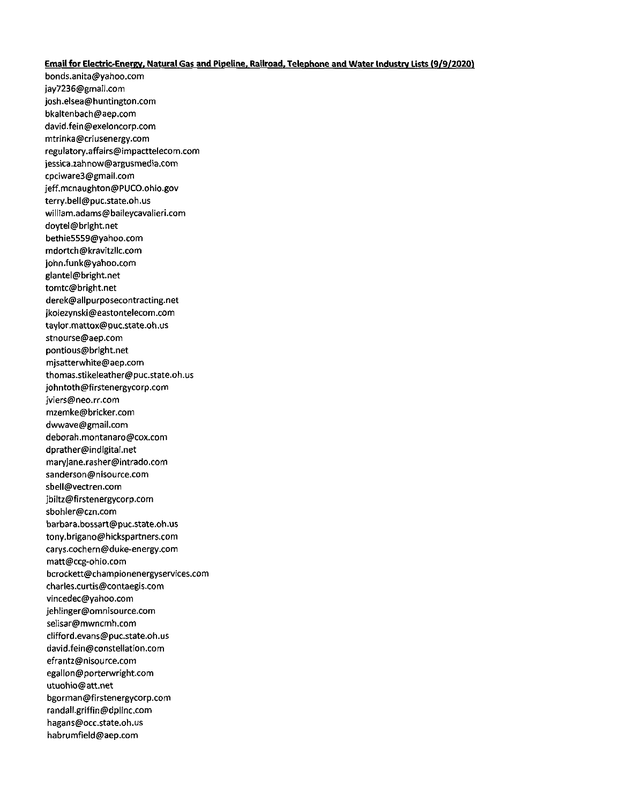#### **Email for Electric-Energy. Natural Gas and Pipeline. Railroad. Telephone and Water Industry Lists <9/9/2020^**

bonds.anita@yahoo.com jay7236@gmall.com josh.elsea@huntington.com bkaltenbach@aep.com david.fein@exeloncorp.com mtrinka@criusenergy.com regulatory.affairs@impacttelecom.com jessica.zahnow@argusmedia.com cpciware3@gmail.com Jeff.mcnaughton@PUCO.ohio.gov terry.bell@puc.state.oh.us william.adams@baileycavalieri.com doytel@bright.net bethie5559@yahoo.com mdortch@kravitzllc.com john.funk@yahoo.com glantel@bright.net tomtc@bright.net derek@allpurposecontracting.net jkolezynski@eastontelecom.com taylor.mattox@puc.state.oh.us stnourse@aep.com pontious@bright.net mjsatterwhite@aep.com thomas.stikeleather@puc.state.oh.us johntoth@firstenergycorp.com jviers@neo.rr.com mzemke@bricker.com dwwave@gmail.com deborah.montanaro@cox.com dprather@indigital.net maryjane.rasher@intrado.com sanderson@nisource.com sbell@vectren.com jbiltz@firstenergycorp.com sbohler@czn.com barbara.bossart@puc.state.oh.us tony.brigano@hickspartners.com carys.cochern@duke-energy.com matt@ccg-ohio.com bcrockett@championenergyservices.com charles.curtis@contaegis.com vincedec@yahoo.com jehlinger@omnisource.com selisar@mwncmh.com clifford.evans@puc.state.oh.us david.fein@constellation.com efrantz@nisource.com egallon@porterwright.com utuohio@att.net bgorman@firstenergycorp.com randall.griffin@dplinc.com hagans@occ.state.oh.us habrumfield@aep.com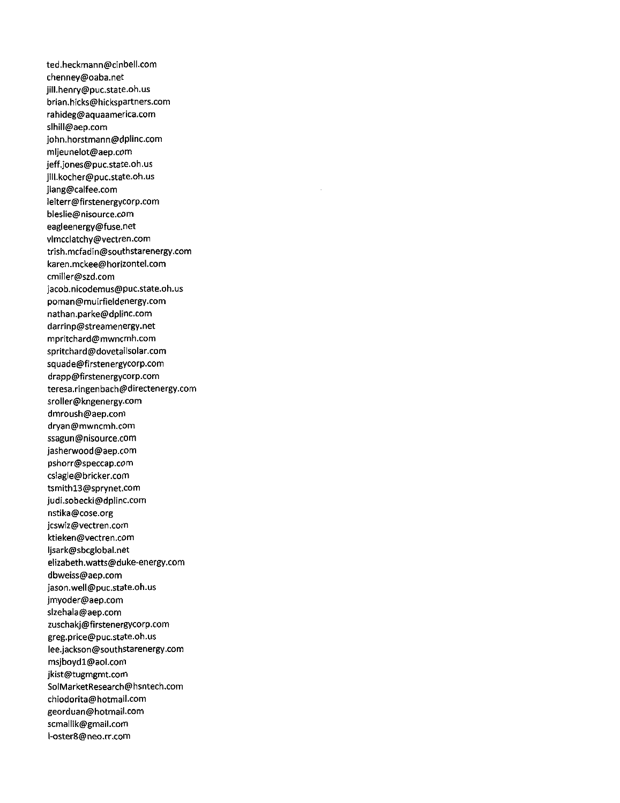ted.heckmann@cinbell.com chenney@oaba.net jill.henry@puc.state.oh.us brian.hicks@hickspartners.com rahideg@aquaamerica.com slhill@aep.com John.horstmann@dplinc.com mljeunelot@aep.com jeff.]ones@puc.state.oh.us jill.kocher@puc.state.oh.us jlang@caifee.com leiterr@firstenergycorp.com bleslie@nisource.com eagleenergy@fuse.net vlmcclatchy@vectren.com trish.mcfadin@southstarenergy.com karen.mckee@horizontel.com cmilier@szd.com ]acob.nicodemus@puc.state.oh.us poman@muirfieldenergy.com nathan.parke@dplinc.com darrinp@streamenergy.net mpritchard@mwncmh.com spritchard@dovetailsolar.com squade@firstenergycorp.com drapp@firstenergycorp.com teresa.ringenbach@directenergy.com sroller@kngenergy.com dmroush@aep.com dryan@mwncmh.com ssagun@nisource.com jasherwood@aep.com pshorr@speccap.corn cslagle@bricker.com tsmithl3@sprynet.com judi.sobecki@dplinc.com nstika@cose.org jcswiz@vectren.com ktieken@vectren.com ljsark@sbcglobal.net elizabeth.watts@duke-energy.com dbweiss@aep.com jason.well@puc.state.oh.us jmyoder@aep.com slzehala@aep.com zuschakj@firstenergycorp.com greg.price@puc.state.oh.us lee.jackson@southstarenergy.com msjboydl@aol.com jkist@tugmgmt.com SoiMarketResearch@hsntech.com chiodorita@hotmail.com georduan@hotmail.com scmallik@gmail.com l-oster8@neo.rr.com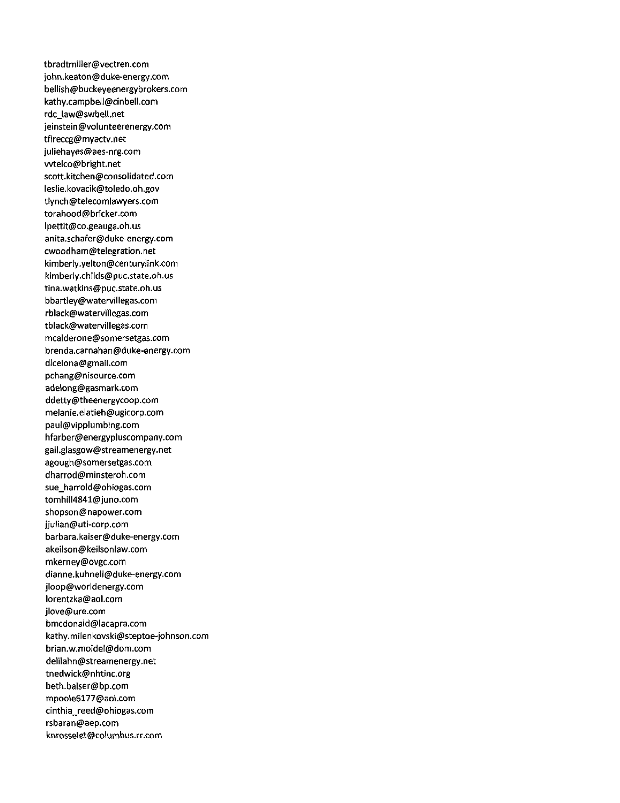tbradtmil!er(®vectren.com john.keaton@duke-energy.com bellish@buckeyeenergybrokers.com kathy.campbell@cinbell.com rdc\_law@swbell.net jeinstein@volunteerenergy.com tfireccg@myactv.net juliehayes@aes-nrg.com wtelco@bright.net scott.kitchen@consolidated.com leslie.kovacik@toledo.oh.gov tlynch@telecomlawyers.com torahood@bricker.com lpettit@co.geauga.oh.u5 anita.schafer@duke-energy.com cwoodham@telegration.net kimberly.yelton@centurylink.com kimberly.childs@puc.state.oh.us tina.watkins@puc.state.oh.us bbartley@watervillegas.com rblack@watervillegas.com tblack@watervillegas.com mcalderone@somersetgas.com brenda.carnahan@duke-energy.com dlcelona@gmail.com pchang@nisource.com adelong@gasmark.com ddetty@theenergycoop.com melanie.elatieh@ugicorp.com paui@vipplumbing.com hfarber@energypluscompany.com gail.glasgow@streamenergy.net agough@somersetgas.com dharrod@minsteroh.com sue\_harrold@ohiogas.com tomhill4841@juno.com shopson@napower.com jjulian@uti-corp.com barbara.kaiser@duke-energy.com akeilson@keilsonlaw.com mkerney@ovgc.com dianne.kuhneil@duke-energy.com jioop@worldenergy.com iorentzka@aoi.com jiove@ure.com bmcdonald@iacapra.com kathy.milenkovski@steptoe-johnson.com brian.w.moidel@dom.com delilahn@streamenergy.net tnedwick@nhtinc.org beth.baiser@bp.com mpoole6177@aol.com cinthia\_reed@ohiogas.com rsbaran@aep.com knrosselet@columbus.rr.com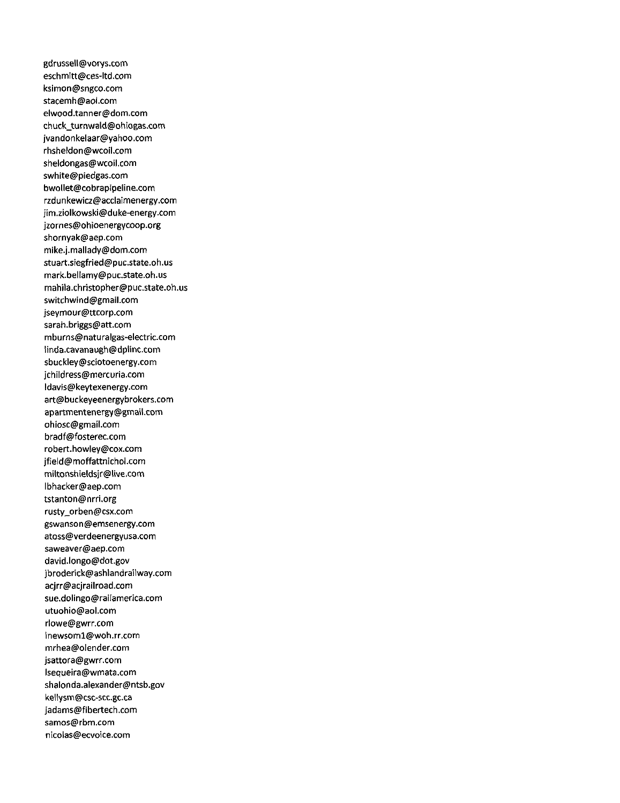gdrussell@vorys.com eschmitt@ces-ltd.com ksimon@sngco.com stacemh@aol.com elwood.tanner@dom.com chuck\_turnwald@ohiogas.com jvandonkelaar@yahoo.com rhsheldon@wcoil.com sheidongas@wcoil.com swhite@piedgas.com bwollet@cobraplpeline.com rzdunkewicz@acclaimenergy.com jim.ziolkowski@duke-energy.com jzornes@ohioenergycoop.org shornyak@aep.com mike.j.mallady@dom.com stuart.siegfried@puc.state.oh.us mark.bellamy@puc.state.oh.us mahila.christopher@puc.state.oh.us switchwind@gmail.com jseymour@ttcorp.com sarah.briggs@att.com mburns@naturalgas-electric.com linda.cavanaugh@dplinc.com sbuckley@sciotoenergy.com jchildress@mercuria.com ldavis@keytexenergy.com art@buckeyeenergybrokers.com apartmentenergy@gmail.com ohiosc@gmail.com bradf@fosterec.com robert.howley@cox.com jfield@moffattnichoi.com mlltonshieldsjr@live.com lbhacker@aep.com tstanton@nrri.org rusty\_orben@csx.com gswanson@emsenergy.com atoss@verdeenergyusa.com saweaver@aep.com david.longo@dot.gov jbroderick@ashlandrailway.com acjrr@acjrailroad.com sue.dolingo@raiiamerica.com utuohio@aol.com riowe@gwrr.com lnewsoml@woh.rr.com mrhea@olender.com jsattora@gwrr.com lsequeira@wmata.com shaionda.alexander@ntsb.gov kellysm@csc-scc.gc.ca jadams@fibertech.com samos@rbm.com nicolas@ecvoice.com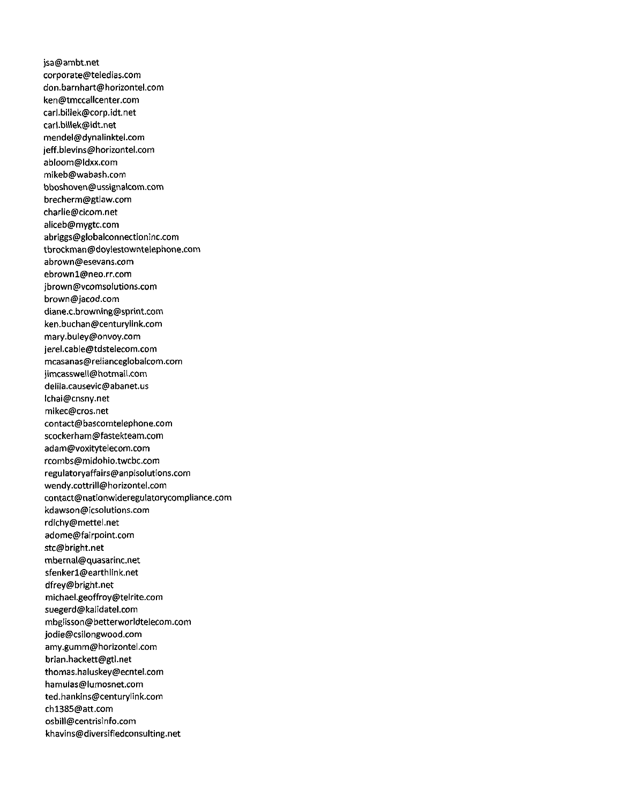jsa@ambt.net corporate@teledias.com don.barnhart@horizontel.com ken@tmccalicenter.com carl.billek@corp.idt.net carl.billek@idt.net mendel@dynalinktel.com jeff.blevins@horizontei.com abloom@ldxx.com mikeb@wabash.com bboshoven@ussignalcom.com brecherm@gtlaw.com charlie@cicom.net aliceb@mygtc.com abriggs@globalconnectioninc.com tbrockman@doYlestowntelephone.com abrown@esevans.com ebrownl@neo.rr.com jbrown@vcomsolutions.com brown@Jacod.com diane.c.browning@sprint.com ken.buchan@centuryiink.com mary.buley@onvoy.com jerel.cable@tdstelecom.com mcasanas@relianceglobaicom.com jimcasswell@hotmail.com delila.causevic@abanet.us lchai@cnsny.net mikec@cros.net contact@bascomtelephone.com scockerham@fastekteam.com adam@voxitytelecom.com rcombs@midohio.twcbc.com regulatoryaffairs@anpisolutions.com wendy.cottrill@horizontel.com contact@nationwideregulatorvcompliance.com kdawson@icsolutions.com rdichy@mettel.net adome@fairpoint.com stc@bright.net mbernal@quasarinc.net sfenkerl@earthlink.net dfrey@bright.net michael.geoffroy@telrite.com suegerd@kalidatel.com mbglisson@betterworldtelecom.com jodie@csilongwood.com amy.gumm@horizontel.com brian.hackett@gtl.net thomas.haluskey@ecntel.com hamulas@lumosnet.com ted.hankins@centurylink.com chl385@att.com osbill@centrisinfo.com khavins@diversifiedconsulting.net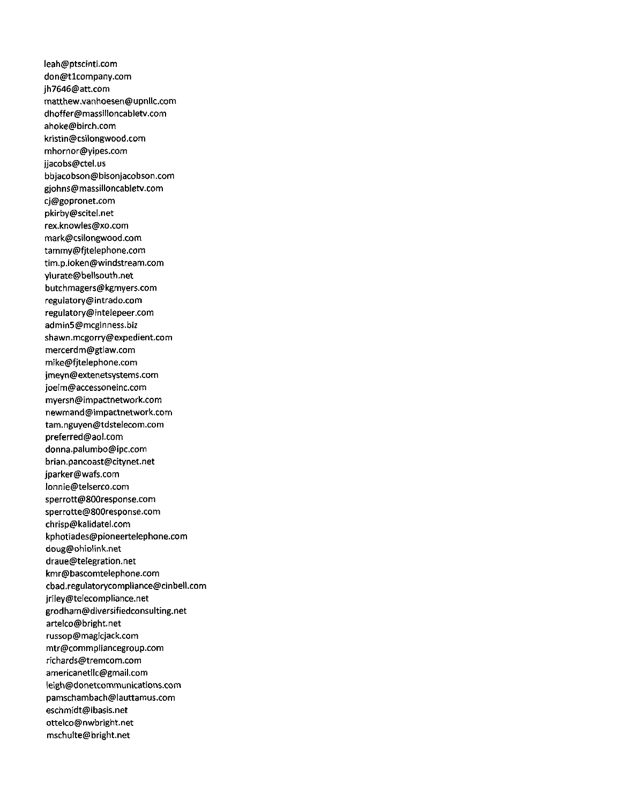Ieah(®ptscinti.com don@tlcompany.com jh7646@att.com matthew.vanhoesen@upnllc.com dhoffer@massilloncabletv.com ahoke@birch.com kristin@csilongwood.com mhornor@yipes.com jjacobs@ctel.us bbjacobson@bisonjacobson.com gjohns@massilloncabletv.com cj@gopronet.com pkirby@scitel.net rex.knowles@xo.com mark@csllongwood.com tammy@fjtetephone.com tim.p.loken@windstream.com Ylurate@bellsouth.net butchmagers@kgmyers.com regulatory@intrado.com regulatory@intelepeer.com admin5@mcginness.biz shawn.mcgorry@expedient.com mercerdm@gtlaw.com mike@fjtelephone.com jmeyn@extenetsystems.com joelm@accessoneinc.com myersn@impactnetwork.com newmand@impactnetwork.com tam.nguyen@tdstelecom.com preferred@aol.com donna.palumbo@ipc.com brian.pancoast@citynet.net jparker@wafs.com lonnie@telserco.com sperrott@800response.com sperrotte@800response.com chrisp@kalidatel.com kphotiades@pioneertelephone.com doug@ohiolink.net draue@teIegration.net kmr@bascomtelephone.com cbad.regulatorycompliance@cinbell.com jriley@telecompliance.net grodham@diversifiedconsulting.net artelco@bright.net russop@magicjack.com mtr@commpliancegroup.com richards@tremcom.com americanetllc@gmail.com leigh@donetcommunications.com pamschambach@lauttamus.com eschmidt@ibasis.net ottelco@nwbright.net mschulte@bright.net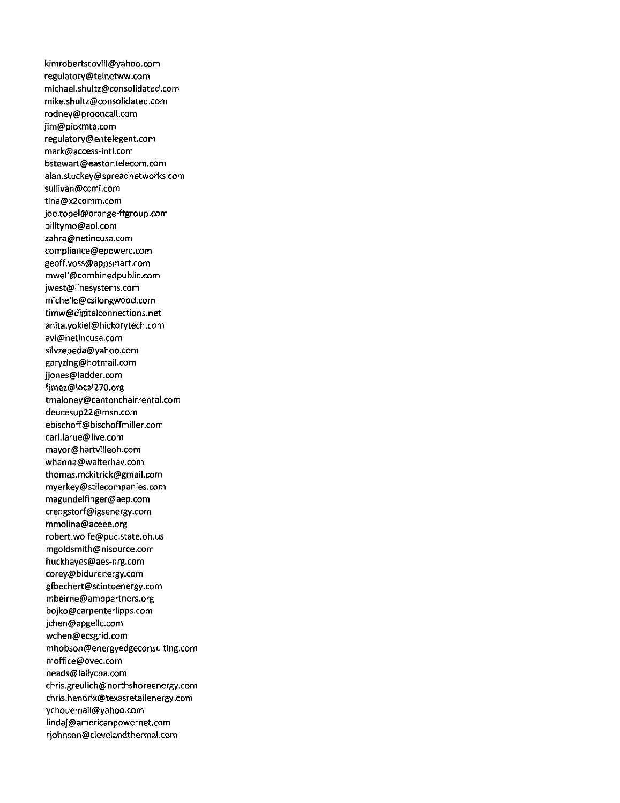kimrobertscovill@yahoo.com regulatory@telnetww.com michael.shultz@consolidated.com mike.shultz@consolidated.com rodney@prooncall.com jim@pickmta.com regulatory@entelegent.com mark@access-intl.com bstewart@eastontelecom.com alan.stuckey@spreadnetworks.com sullivan@ccmi.com tina@x2comm.com Joe.topel@orange-ftgroup.com bifItymo@aol.com zahra@netincusa.com compliance@epowerc.com geoff.voss@appsmart.com mweil@combinedpublic.com Jwest@linesystems.com michelie@csilongwood.com timw@digitalconnections.net anita.yokiel@hickorytech.com avi@netincusa.com silvzepeda@yahoo.com garyzing@hotmail.com jjones@ladder.com fjmez@local270.org tmaloney@cantonchairrental.com deucesup22@msn.com ebischoff@bischoffmiller.com carl.larue@live.com mayor@hartvilleoh.com whanna@walterhav.com thomas.mckitrick@gmail.com myerkey@stilecompanies.com magundelfinger@aep.com crengstorf@igsenergy.com mmolina@aceee.org robert.wolfe@puc.state.oh.us mgoldsmith@nisource.com huckhayes@aes-nrg.com corey@bidurenergy.com gfbechert@sciotoenergy.com mbeirne@amppartners.org boJko@carpenterlipps.com Jchen@apgeIIc.com wchen@ecsgrid.com mhobson@energyedgeconsulting.com moffice@ovec.com neads@lallycpa.com chris.greulich@northshoreenergy.com chris.hendrix@texasretailenergy.com ychouemail@yahoo.com lindaj@americanpowernet.com rjohnson@develandthermal.com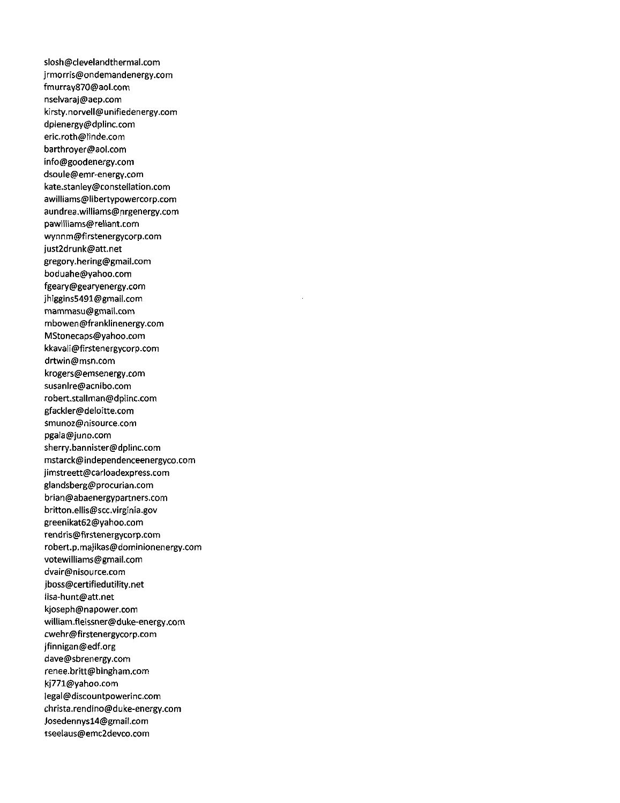slosh@clevelandthermal.com jrmorris@ondemandenergy.com fmurray870@aol.com nselvaraj@aep.com kirsty.norvell@unifiedenergy.com dplenergy@dplinc.com eric.roth@linde.com barthroyer@aoi.com info@goodenergy.com dsoule@emr-energy.com kate.stanley@consteliation.com awilliams@libertypowercorp.com aundrea.wiliiams@nrgenergy.com pawiiliams@reliant.com wynnm@firstenergycorp.com just2drunk@att.net gregory.hering@gmaii.com boduahe@yahoo.com fgeary@gearyenergy.com jhiggins5491@gmail.com mammasu@gmail.com mbowen@frankiinenergy.com MStonecaps@yahoo.com kkavali@firstenergycorp.com drtwin@msn.com krogers@emsenergy.com susanire@acnibo.com robert.stallman@dplinc.com gfackier@deloitte.com smuno2@nisource.com pgaia@juno.com sherry.bannister@dplinc.com mstarck@independenceenergyco.com jimstreett@carioadexpress.com giandsberg@procurian.com brian@abaenergypartners.com britton.ellis@scc.virginia.gov greenikat62@yahoo.com rendris@firstenergycorp.com robert.p.majikas@dominionenergy.com votewilliams@gmail.com dvair@nisource.com jboss@certifiedutility.net iisa-hunt@att.net kjoseph@napower.com william.fleissner@duke-energy.com cwehr@firstenergycorp.com jfinnigan@edf.org dave@sbrenergy.com renee.britt@bingham.com kj771@yahoo.com legal@discountpowerinc.com christa.rendino@duke-energy.com Josedennysl4@gmaii.com tseelaus@emc2devco.com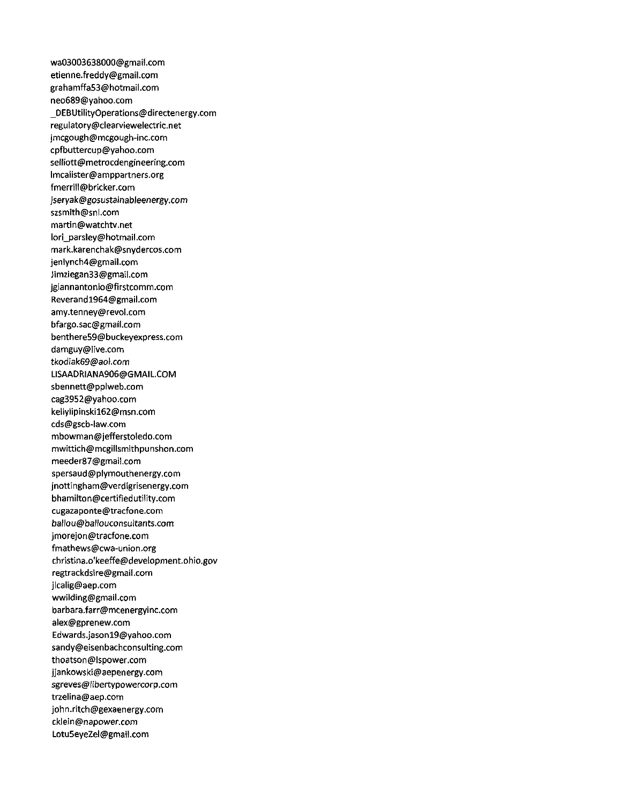wa03003638000@gmail.com etienne.freddy@gmail.com grahamffa53@hotmail.com neo689@yahoo.com \_DEBUtilityOperations@directenergy.com regulatory@clearviewelectric.net jmcgough@mcgough-inc.com cpfbuttercup@yahoo.com selliott@metrocdengineering.com lmcaiister@amppartners.org fmerrill@bricker.com jseryak@gosustainableenergy.com szsmith@snl.com martin@watchtv.net lori\_parsley@hotmail.com mark.karenchak@snydercos.com jenlynch4@gmail.com Jimziegan33@gmail.com jgiannantonio@firstcomm.com Reverandl964@gmail.com amy.tenney@revol.com bfargo.sac@gmail.com benthere59@buckeyexpress.com damguy@live.com tkodiak69@aol.com LISAADRIANA906@GMAIL.COM sbennett@pplweb.com cag3952@yahoo.com kellylipinskil62@msn.com cds@gscb-law.com mbowman@jefferstoledo.com mwittich@mcgillsmithpunshon.com meeder87@gmail.com spersaud@plymouthenergy.com jnottingham@verdigrisenergy.com bhamilton@certifiedutiiity.com cugazaponte@tracfone.com ballou@ballouconsultants.com jmorejon@tracfone.com fmathews@cwa-union.org christlna,o'keeffe@development,ohio,gov regtrackdsire@gmail.com jlcalig@aep.com wwiiding@gmail.com barbara.farr@mcenergyinc.com aiex@gprenew.com Edwards.jasonl9@yahoo.com sandy@eisenbachconsulting.com thoatson@lspower.com jjankowski@aepenergy.com sgreves@(ibertypowercorp.com trzelina@aep.com john.ritch@gexaenergy.com cklein@napower.com Lotu5eyeZel@gmail.com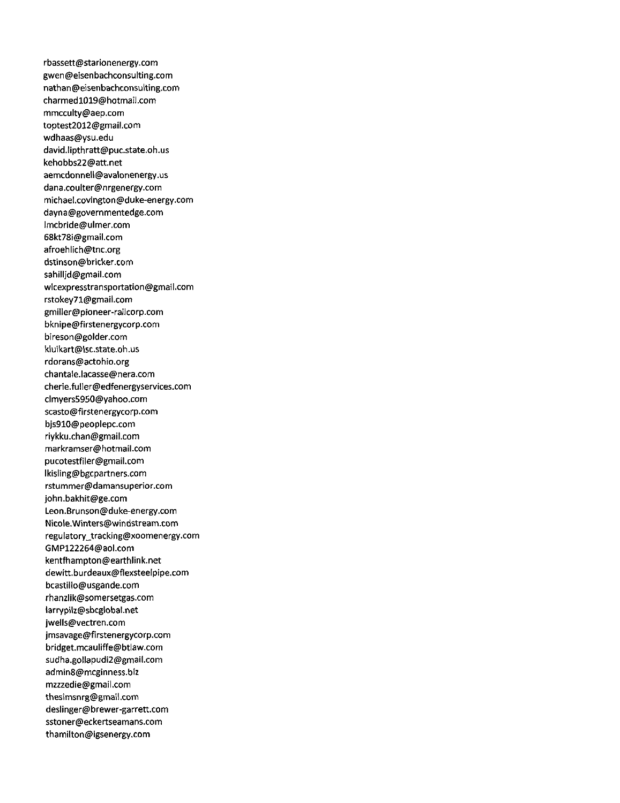rbassett@starionenergy.com gwen@eisenbachconsulting.com nathan@eisenbachconsulting.com charmedl019@hotmail.com mmcculty@aep.com toptest2012@gmail.com wdhaas@ysu.edu david.lipthratt@puc.state.oh.us kehobbs22@att.net aemcdonnel!@avalonenergy.us dana.couiter@nrgenergy.com michaeI.covington@duke-energy.com dayna@governmentedge.com lmcbride@ulmer.com 68kt78i@gmail.com afroehlich@tnc.org dstinson@bricker.com sahilljd@gmail.com wlcexpresstransportation@gmail.com rstokey71@gmait.com gmiiler@pioneer-railcorp.com bknipe@firstenergycorp.com bireson@golder.com kluikart@lsc.state.oh.us rdorans@actohio.org chantaie.lacasse@nera.com cherie.fuller@edfenergyservices.com clmyers5950@yahoo.com scasto@firstenergycorp.com bjs910@peoplepc.com riykku.chan@gmail.com markramser@hotmail.com pucotestfiler@gmail.com lkisling@bgcpartners.com rstummer@damansuperior.com john.bakhit@ge.com Leon.Brunson@duke-energy.com Nicole.Winters@windstream.com regulatory\_\_tracking@xoomenergy.com GMP122264@aol.com kentfhampton@earthlink.net dewitt.burdeaux@flexsteelpipe.com bcastiiio@usgande.com rhanzlik@somersetgas.com larrypilz@sbcglobal.net jwells@vectren.com jmsavage@firstenergycorp.com bridget.mcauliffe@btlaw.com sudha.gollapudi2@gmail.com admin8@mcginness.biz mzzzedie@gmail.com thesimsnrg@gmail.com deslinger@brewer-garrett.com sstoner@eckertseamans.com thamilton@igsenergy.com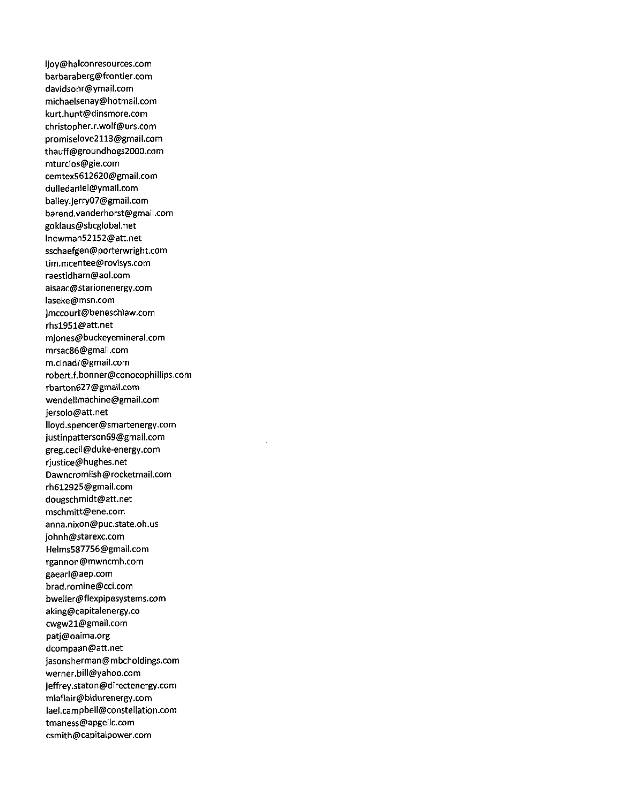ijoy@halconresources.com barbaraberg@frontler.com davidsonr@ymail.com michaelsenay@hotmail.com kurt.hunt@dinsmore.com christopher.r.wolf@urs.com promiselove2113@gmail.com thauff@groundhogs2000.com mturcios@gie.com cemtex5612620@gmail.com dulledaniel@ymail.com bailey.jerry07@gmail.com barend.vanderhorst@gmail.com goklaus@sbcgiobal.net inewman52152@att.net sschaefgen@porterwright.com tim.mcentee@rovisys.com raestidham@aol.com aisaac@starionenergy.com iaseke@msn.com jmccourt@beneschlaw.com rhsl951@att.net mJones@buckeyeminerai.com mrsac86@gmail.com m.cinadf@gmaii.com robert.f.bonner@conocophillips.com rbarton627@gmail.com wendellmachine@gmail.com Jersolo@att.net lloyd.spencer@smartenergy.com justinpatterson69@gmail.com greg.cecil@duke-energy.com rjustice@hughes.net Dawncromlish@rocketmail.com rh612925@gmail.com dougschmidt@att.net mschmitt@ene.com anna.nixon@puc.state.oh.us johnh@starexc.com Helms587756@gmail.com rgannon@mwncmh.com gaearl@aep.com brad.romine@cci.com bweller@flexpipesystems.com aking@capitalenergy.co cwgw21@gmail.com patj@oaima.org dcompaan@att.net jasonsherman@mbcholdings.com werner.bill@yahoo.com jeffrey.staton@directenergy.com mlaflair@bidurenergv.com lael.campbell@constellation.com tmaness@apgellc.com csmith@capitalpower.com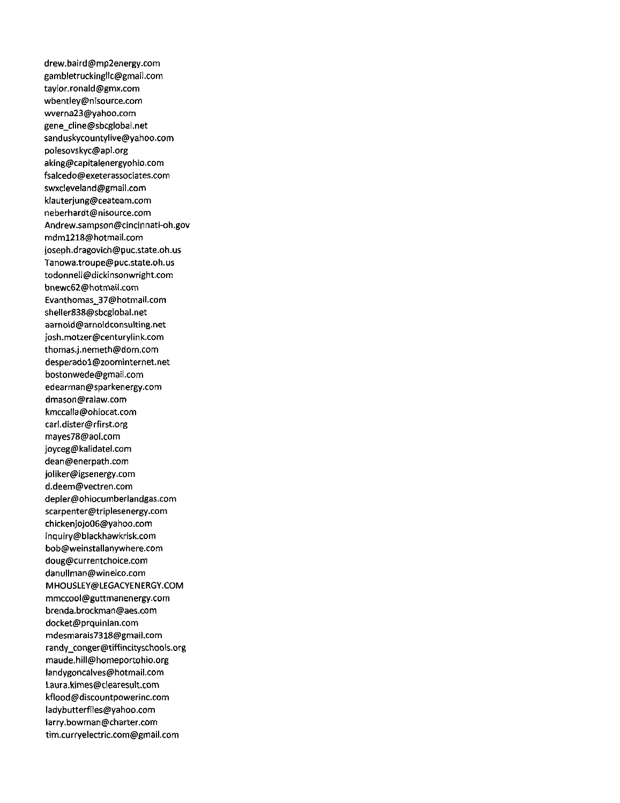drew.baird@mp2energy.com gambletruckingiic@gmail.com taylor.ronald@gmx.com wbentley@nisource.com wverna23@yahoo.com gene\_cline@sbcglobal.net sanduskycountylive@yahoo.com polesovskyc@api.org aking@capitalenergyohio.com fsalcedo@exeterassociates.com swxcieveland@gmail.com kiauterjung@ceateam.com neberhardt@nisource.com Andrew.sampson@cincinnati-oh.gov mdml218@hotmaii.com joseph.dragovich@puc.state.oh.us Tanowa.troupe@puc.state.oh.us todonnell@dickinsonwright.com bnewc62@hotmail.com Evanthomas\_37@hotmail.com sheller838@sbcglobal.net aarnold@arnoldconsulting.net Josh.motzer@centuryiink.com thomas.J.nemeth@dom.com desperadol@20ominternet.net bostonwede@gmail.com edearman@sparkenergy.com dmason@ralaw.com kmccalia@ohiocat.com carl.dister@rfirst.org mayes78@aol.com joyceg@kalidatei.com dean@enerpath.com Joliker@igsenergy.com d.deem@vectren.com depier@ohiocumberiandgas.com scarpenter@triplesenergy.com chickenjojo06@yahoo.com inquiry@blackhawkrisk.com bob@weinstallanywhere.com doug@currentchoice.com danullman@winelco.com MHOUSLEY@LEGACYENERGY.COM mmccool@guttmanenergy.com brenda.brockman@aes.com docket@prquinian.com mdesmarais73l8@gmail.com randy\_conger@tiffincityschools.org maude.hill@homeportohio.org landygoncalves@hotmail.com Laura.klmes@clearesult.com kflood@discountpowerinc.com ladybutterflies@yahoo.com larry.bowman@charter.com tim.curryelectric.com@gmail.com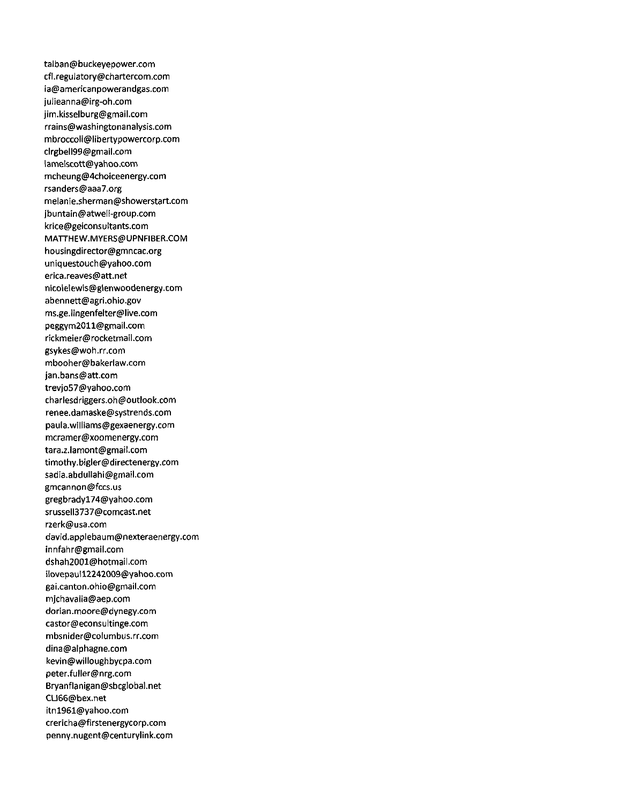talban@buckeyepower.com cfl.regulatory@chartercom.com ia@americanpowerandgas.com julieanna@irg-oh.com Jim.kisselburg@gmail.com rrains@washingtonanalysis.com mbroccoli@libertypowercorp.com clrgbell99@gmail.com lamelscott@yahoo.com mcheung@4choiceenergy.com rsanders@aaa7.org melanie.sherman@showerstart.com jbuntain@atweli-group.com krice@geiconsultants.com MATTHEW.MYERS@UPNFIBER.COM housingdirector@gmncac.org uniquestouch@yahoo.com erica.reaves@att.net nicolelewis@glenwoodenergy.com abennett@agri.ohio.gov ms.ge.lingenfelter@live.com peggym2011@gmail.com rickmeier@rocketmail.com gsykes@woh.rr.com mbooher@bakerlaw.com jan.bans@att.com trevjo57@yahoo.com charlesdriggers.oh@outlook.com renee.damaske@systrends.com paula.williams@gexaenergy.com mcramer@xoomenergy.com tara.z.iamont@gmail.com timothy.bigler@directenergy.com sadia.abdullahi@gmail.com gmcannon@fccs.us gregbradyl74@yahoo.com srussell3737@comcast.net rzerk@usa.com david.applebaum@nexteraenergy.com innfahr@gmail.com dshah2001@hotmail.com ilovepaull2242009@yahoo.com gai.canton.ohio@gmail.com mjchavalia@aep.com dorian.moore@dynegy.com castor@econsultinge.com mbsnider@columbus.rr.com dina@alphagne.com kevin@willoughbycpa.com peter.fuller@nrg.com Bryanflanigan@sbcglobal.net CU66@bex.net itnl961@yahoo.com crericha@firstenergycorp.com pennv.nugent@centurylink.com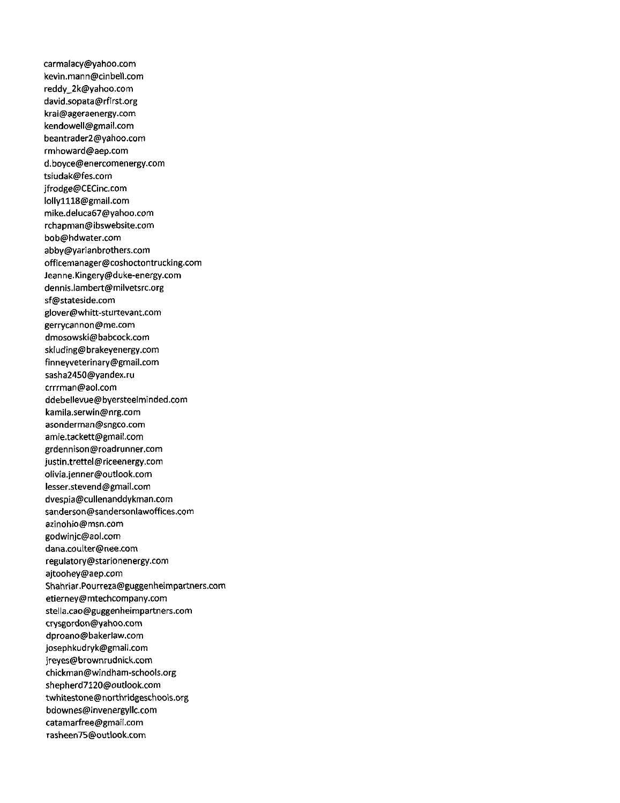carmalacy@yahoo.com kevin.mann@cinbell.com reddy\_2k@yahoo.com david.sopata@rfirst.org krai@ageraenergy.com kendowell@gmail.com beantrader2@yahoo.com rmhoward@aep.com d.boyce@enercomenergy.com tsiudak@fes.com jfrodge@CECinc.com lolly1118@gmail.com mike.deluca67@yahoo.com rchapman@ibswebsite.com bob@hdwater.com abby@yarianbrothers.com officemanager@coshoctontrucking.com Jeanne.Kingery@duke-energy.com dennis.lambert@milvetsrc.org sf@stateside.com glover@whitt-sturtevant.com gerrycannon@me.com dmosowski@babcock.com skiuding@brakeyenergy.com finneyveterinary@gmail.com sasha2450@yandex.ru crrrman@aol.com ddebellevue@bYersteeiminded.com kamila.serwin@nrg.com asonderman@sngco.com amie.tackett@gmaii.com grdennison@roadrunner.com justin.trettel@riceenergy.com olivia.jenner@outlook.com lesser.stevend@gmaii.com dvespia@cullenanddykman.com sanderson@sandersonlawoffices.com azinohio@msn.com godwinjc@aol.com dana.coulter@nee.com regulatory@starionenergy.com ajtoohey@aep.com Shahriar.Pourreza@guggenheimpartners.com etierney@mtechcompany.com stella.cao@guggenheimpartners.com crysgordon@yahoo.com dproano@bakerlaw.com josephkudryk@gmail.com jreyes@brownrudnick.com chickman@windham-schools.org shepherd7120@outlook.com twhitestone@northridgeschools.org bdownes@invenergyllc.com catamarfree@gmail.com rasheen75@outlook.com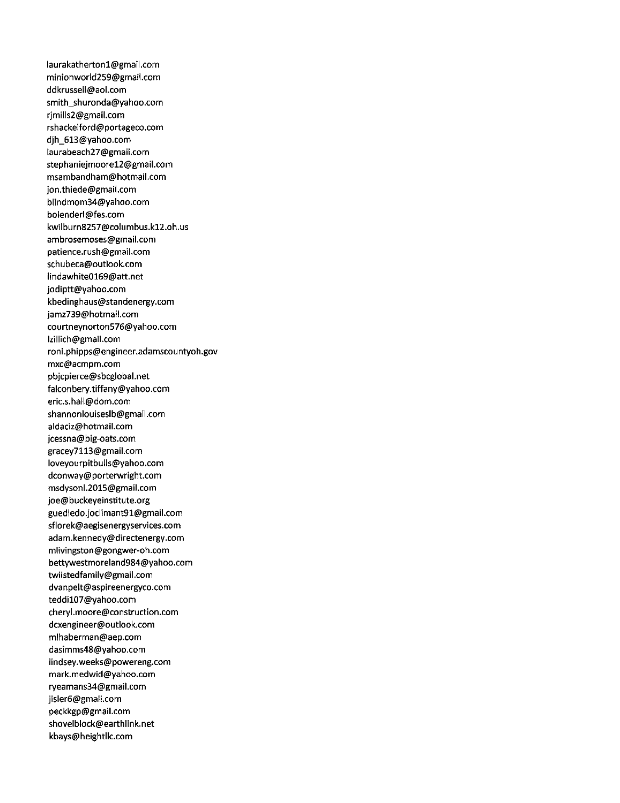iaurakathertonl@gmail.com minionworld259@gmaii.com ddkrussell@aoi.com smith\_shuronda@yahoo.com rjmills2@gmaii.com rshackelford@portageco.com djh\_613@yahoo.com laurabeach27@gmaii.com stephaniejmoorel2@gmaii.com msambandham@hotmaii.com jon.thiede@gmaii.com blindmom34@yahoo.com bolenderi@fes.com kwilburn8257@columbus.kl2.oh.us ambrosemoses@gmaii.com patience.rush@gmail.com schubeca@outiook.com iindawhite0169@att.net jodiptt@yahoo.com kbedinghaus@standenergy.com jam2739@hotmail.com courtneynorton576@yahoo.com lzillich@gmail.com roni.phipps@engineer.adamscountyoh.gov mxc@acmpm.com pbjcpierce@sbcglobal.net falconbery.tiffany@yahoo.com eric.s.hall@dom.com shannonlouiseslb@gmail.com aldaciz@hotmail.com jcessna@big-oats.com gracey7113@gmail.com loveyourpitbulls@yahoo.com dconway@porterwright.com msdysonl.2015@gmail.com joe@buckeyeinstitute.org guediedo.joclimant91@gmail.com sflorek@aegisenergyservices.com adam.kennedy@directenergy.com mlivingston@gongwer-oh.com bettywestmoreland984@yahoo.com twiistedfamily@gmail.com dvanpelt@aspireenergyco.com teddil07@yahoo.com cheryl.moore@construction.com dcxengineer@outlook.com mlhaberman@aep.com dasimms48@yahoo.com lindsey.weeks@powereng.com mark.medwid@yahoo.com ryeamans34@gmail.com jisler6@gmail.com peckkgp@gmail.com shovelblock@earthlink.net kbays@heightllc.com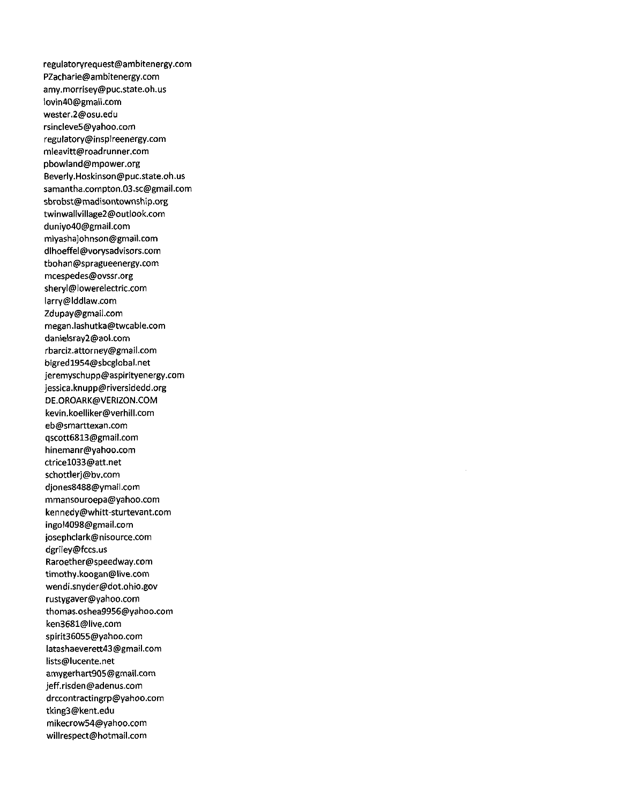regulatoryrequest@ambitenergy.com PZacharie@ambitenergy.com amy.morrisey@puc.state.oh.us lovin40@gmail.com wester.2@osu.edu rsincleve5@yahoo.com regulatory@inspireenergy.com mleavitt@roadrunner.com pbowland@mpower.org Beverly.Hoskinson@puc.state.oh.us samantha.compton.03.sc@gmail.com sbrobst@madisontownship.org twinwailvillage2@outlook.com duniyo40@gmaii.com miyashajohnson@gmail.com dlhoeffel@vorysadvisors.com tbohan@spragueenergy.com mcespedes@ovssr.org sheryl@lowerelectric.com larry@lddlaw.com Zdupay@gmail.com megan.lashutka@twcable.com danielsrav2@aol.com rbardz.attorney@gmail.com bigredl954@sbcglobal.net jeremyschupp@aspirityenergy.com jessica.knupp@riversidedd.org DE.OROARK@VERIZON.COM kevin.koelliker@verhill.com eb@smarttexan.com qscott6813@gmail.com hinemanr@yahoo.com ctricel033@att.net schottlerj@bv.com djones8488@ymail.com mmansouroepa@yahoo.com kennedy@whitt-sturtevant.com ingol4098@gmail.com iosephclark@nisource.com dgriley@fccs.us Raroether@speedway.com timothv.koogan@live.com wendi.snyder@dot.ohio.gov rustygaver@yahoo.com thomas.oshea9956@yahoo.com ken3681@live.com spirit36055@yahoo.com latashaeverett43@gmail.com lists@lucente.net amygerhart905@gmail.com Jeff.risden@adenus.com drccontractingrp@yahoo.com tking3@kent.edu mikecrow54@yahoo.com willrespect@hotmail.com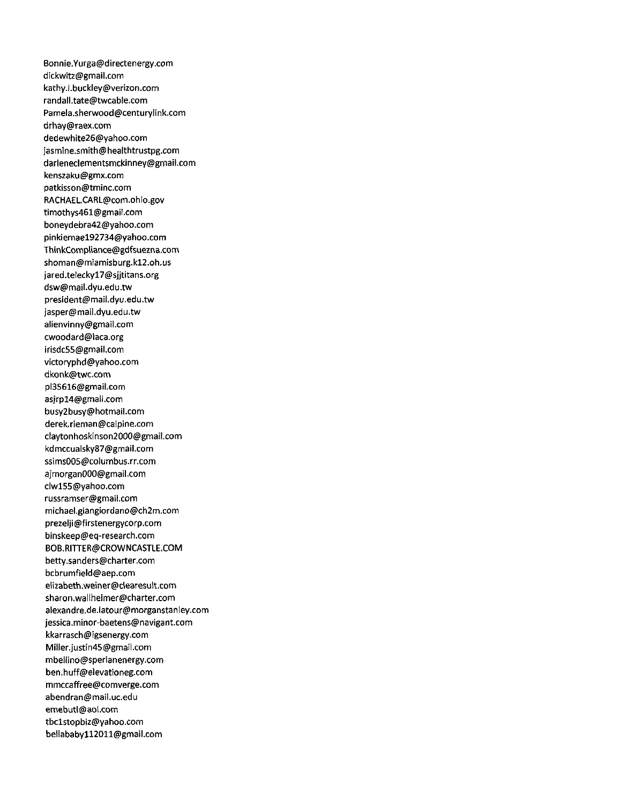Bonnie.Yurga@directenergy.com dickwit2@gmail.com kathy.l.buckley@verizon.com randall.tate@twcable.com Pamela.sherwood@centurylink.com drhay@raex.com dedewhite26@yahoo.com jasmine.smith@healthtrustpg.com darleneclementsmckinney@gmail.com kenszaku@gmx.com patkisson@tminc.com RACHAEL.CARL@com.ohio.gov timothys461@gmail.com boneydebra42@yahoo.com pinkiemael92734@yahoo.com ThlnkCompliance@gdfsuezna.com shoman@miamisburg.kl2.oh.us jared.teleckyl7@sjjtitans.org dsw@mail.dyu.edu.tw president@mail.dyu.edu.tw jasper@mail.dyu.edu.tw alienvinny@gmail.com cwoodard@laca.org irisdc55@gmail.com victoryphd@yahoo.com dkonk@twc.com pl35616@gmail.com asjrpl4@gmall.com busy2busy@hotmail.com derek.rieman@calpine.com claytonhoskinson2000@gmail.com kdmccualsky87@gmail.com ssims005@columbus.rr.com ajmorgan000@gmail.com clwl55@yahoo.com russramser@gmail.com michael.giangiordano@ch2m.com prezelji@firstenergycorp.com binskeep@eq-research.com BOB.RITTER@CROWNCASTLE.COM betty.sanders@charter.com bcbrumfield@aep.com elizabeth.weiner@clearesult.com sharon.wallheimer@charter.com alexandre.de.iatour@morganstanley.com jessica.minor-baetens@navigant.com kkarrasch@igsenergy.com Milier.justin45@gmail.com mbellino@sperianenergy.com ben.huff@elevationeg.com mmccaffree@comverge.com abendran@mail.uc.edu emebutl@aol.com tbclstopbiz@yahoo.com beilababyll2011@gmail.com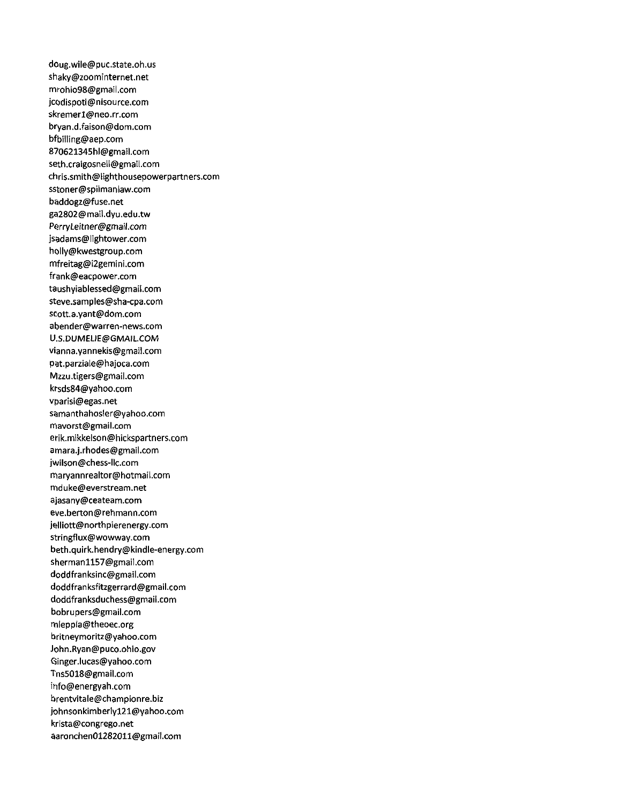doug.wile@puc.state.oh.US shaky@zoominternet.net mrohio98@gmail.com jcodispoti@nisource.com skremerl@neo.rr.com bryan.d.faison@dom.com bfbilling@aep.com 870621345hl@gmail.com seth.craigosnell@gmail.com chris.smith@lighthousepowerpartners.com sstoner@spilmanlaw.com baddogz@fuse.net ga2802@mail.dyu.edu.tw PerryLeitner@gmail.com jsadams@lightower.com holly@kwestgroup.com mfreitag@i2gemini.com frank@eacpower.com taushyiablessed@gmail.com steve.samples@sha-cpa.com scott.a.yant@dom.com abender@warren-news.com U.S.DUMELIE@6MAIL.COM vianna.yannekis@gmaii.com pat.parziale@hajoca.com Mzzu.tigers@gmail.com krsds84@yahoo.com vparisi@egas.net samanthahosler@yahoo.com mavorst@gmail.com erik.mikkelson@hickspartners.com amara.j.rhodes@gmail.com jwilson@chess-llc.com maryannrealtor@hotmail.com mduke@everstream.net ajasany@ceateam.com eve.berton@rehmann.com jelliott@northpierenergy.com stringflux@wowway.com beth.quirk.hendry@kindle-energy.com shermanll57@gmail.com doddfranksinc@gmail.com doddfranksfitzgerrard@gmail.com doddfranksduchess@gmail.com bobrupers@gmail.com mleppla@theoec.org britneymoritz@yahoo.com John.Ryan@puco.ohio.gov Ginger.lucas@yahoo.com Tns5018@gmail.com ihfo@energyah.com brentvitale@championre.biz johnsonkimberlyl21@yahoo.com krista@congrego.net aaronchen01282011@gmaii.com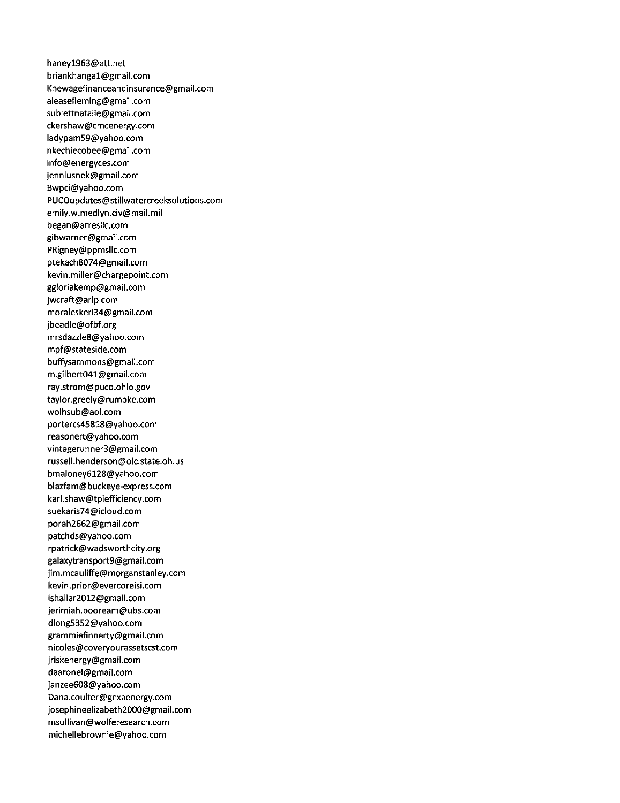haneyl963@att.net briankhangal@gmail.com Knewagefinanceandinsurance@gmail.com aleasefleming@gmail.com sublettnatalie@gmail.com ckershaw@cmcenergy.com ladypam59@yahoo.com nkechiecobee@gmail.com info@energyces.com jennlusnek@gmail.com Bwpci@yahoo.com PUCOupdates@stillwatercreeksolutions.com emily.w.medlyn.civ@mail.mi! began@arresllc.com gibwarner@gmail.com PRigney@ppmsllc.com ptekach8074@gmail.com kevin.miller@chargepoint.com ggloriakemp@gmail.com jwcraft@arlp.com moraleskeri34@gmail.com jbeadle@ofbf.org mrsdazzle8@yahoo.com mpf@stateside.com buffysammons@gmail.com m.gilbert041@gmail.com ray.strom@puco.ohio.gov taylor.greely@rumpke.com wolhsub@aol.com portercs45818@yahoo.com reasonert@yahoo.com vintagerunner3@gmail.com russell.henderson@olc.state.oh.us bmaloney6128@yahoo.com blazfam@buckeye-express.com kari.shaw@tpiefficiency.com suekaris74@icioud.com porah2662@gmail.com patchds@yahoo.com rpatrick@wadsworthcity.org galaxytransport9@gmail.com jim.mcauliffe@morganstanley.com kevin.prior@evercoreisi.com ishallar2012@gmail.com jerimiah.booream@ubs.com dlong5352@yahoo.com grammiefinnerty@gmail.com nicoles@coveryourassetscst.com jriskenergy@gmail.com daaronei@gmail.com janzee608@yahoo.com Dana.coulter@gexaenergy.com josephineelizabeth2000@gmail.com msullivan@wolferesearch.com michellebrownie@yahoo.com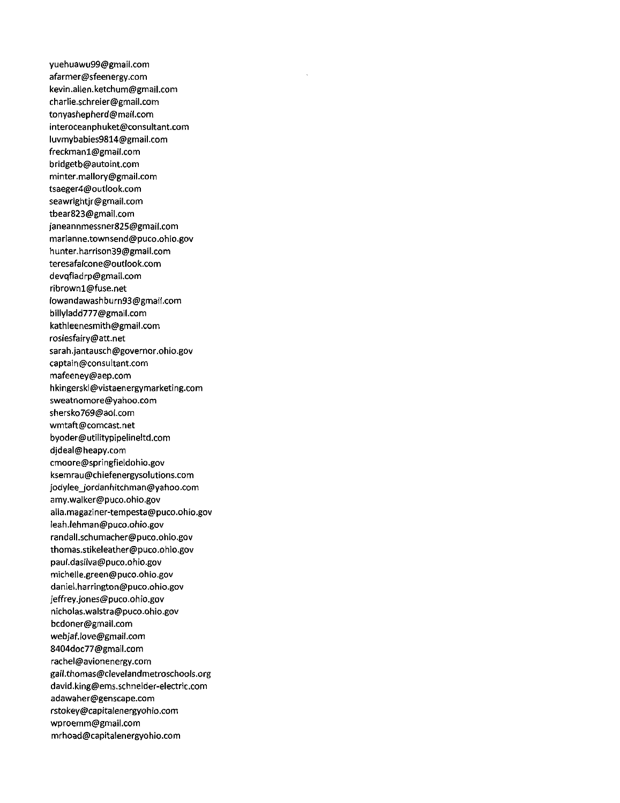yuehuawu99@gmail.com afarmer@sfeenergy.com kevin.allen.ketchum@gmail.com charlie.schreier@gmail.com tonyashepherd@mai(.com interoceanphuket@consultant.com Iuvmybabies9814@gmail.com freckmanl@gmail.com bridgetb@autoint.com minter.mallory@gmail.com tsaeger4@outlook.com seawrightjr@gmail.com tbear823@gmail.com janeannmessner825@gmail.com marianne.townsend@puco.ohio.gov hunter.harrison39@gmail.com teresafalcone@outlook.com devqfiadrp@gmail.com ribrownl@fuse.net (owandawashburn93@gmail.com billyladd777@gmail.com kathleenesmith@gmail.com rosiesfairy@att.net sarah.jantausch@governor.ohio.gov captain@consultant.com mafeeney@aep.com hkingerski@vistaenergymarketing.com sweatnomore@yahoo.com shersko769@aol.com wmtaft@comcast.net byoder@utilitypipelineltd.com djdeal@heapy.com cmoore@springfieldohio.gov ksemrau@chiefenergysolutions.com jodylee jordanhitchman@yahoo.com amy.walker@puco.ohio.gov alla.magaziner-tempesta@puco.ohio.gov leah.(ehman@puco.ohio.gov randall.schumacher@puco.ohio.gov thomas.stikeleather@puco.ohio.gov paul.dasilva@puco.ohio.gov michelle.green@puco.ohio.gov danlel.harrington@puco.ohio.gov jeffrey.jones@puco.ohio.gov nicholas.walstra@puco.ohio.gov bcdoner@gmail.com webjaf.love@gmail.com 8404doc77@gmail.com rachel@avionenergy.com gail.thomas@cleve!andmetroschools.org david.king@ems.schneider-electric.com adawaher@genscape.com rstokey@capitalenergyohio.com wproemm@gmail.com mrhoad@capitalenergyohio.com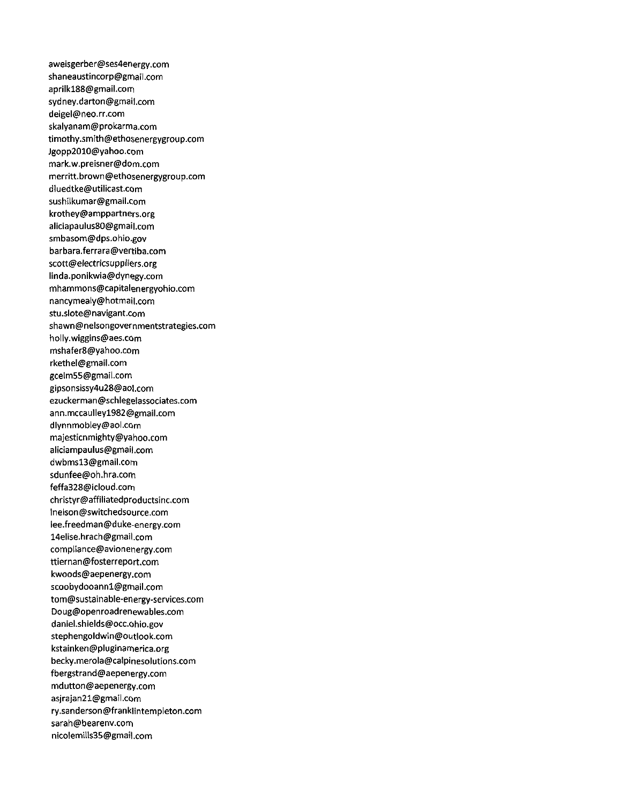aweisgerber@ses4energy.com shaneaustincorp@gmail.com aprilkl88@gmail.com sydney.darton@gmail.com deigel@neo.rr.com skalyanam@prokarma.com timothy.smith@ethosenergygroup.com Jgopp2010@yahoo.com mark.w.preisner@dom.com merritt.brown@ethosenergygroup.com dluedtke@utilicast.com sushilkumar@gmail.com krothey@amppartners.org aliciapaulus80@gmail.com smbasom@dps.ohio.gov barbara.ferrara@veniba.com scott@electricsuppliers.org linda.ponikwia@dynegy.com mhammons@capitalenergyohio.com nancymealy@hotmail.com stu.slote@navigant.com shawn@nelsongovernmentstrategies.com holly.wiggins@aes.com mshafer8@yahoo.com rkethel@gmail.com gcelm55@gmail.com gipsonsissy4u28@aol.com ezuckerman@schlegelassociates.com ann.mccaulleyl982@gmail.com dlynnmobley@aol.com majesticnmighty@yahoo.com aliciampaulus@gmail.com dwbmsl3@gmail.com sdunfee@oh.hra.corn feffa328@icloud.com christyr@affiliatedproductsinc.com lnelson@switchedsource.com lee.freedman@duke-energy.com 14elise.hrach@gmail.com compliance@avionenergy.com ttiernan@fosterreport.com kwoods@aepenergy.com scoobydooannl@gmail.com tom@sustainable-energy-services.com Doug@openroadrenewables.com daniel.shields@occ.ohio.gov stephengoldwin@outlook.com kstainken@pluginamerica.org becky.merola@calpinesolutions.com fbergstrand@aepenergy.com mdutton@aepenergy.com asjrajan21@gmail.com ry.sanderson@franklintempleton.com sarah@bearenv.com nicolemills35@gmail.com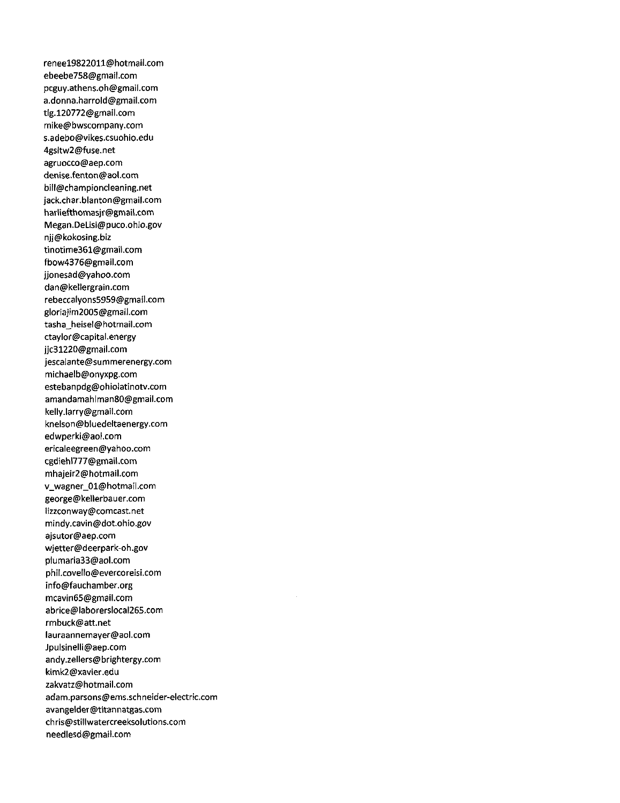reneel9822011@hotmail.com ebeebe758@gmail.com pcguy.athens.oh@gmail.com a.donna.harrold@gmail.com tig.120772@gmail.com mike@bwscompany.com s.adebo@vikes.csuohio.edu 4gsltw2@fuse.net agruocco@aep.com denise.fenton@aol.com biil@championcleaning.net jack.char.blanton@gmail.com harliefthomasjr@gmail.com Megan.DeLisi@puco.ohio.gov njj@kokosing.biz tinotime361@gmail.com fbow4376@gmail.com jjonesad@yahoo.com dan@kellergrain.com rebeccalyons5959@gmail.com gloriajim2005@gmail.com tasha\_heisel@hotmail.com ctaylor@capital.energy jjc31220@gmail.com jescalante@summerenergy.com michaelb@onyxpg.com estebanpdg@ohioiatinotv.com amandamahlman80@gmail.com kelly.larry@gmail.com knelson@bluedeltaenergy.com edwperki@aoi.com ericaleegreen@yahoo.com cgdiehl777@gmaii.com mhajeir2@hotmail.com v\_wagner\_01@hotmail.com george@kellerbauer.com lizzconway@comcast.net mindy.cavin@dot.ohio.gov ajsutor@aep.com wjetter@deerpark-oh.gov plumaria33@aol.com phil.covello@evercoreisi.com info@fauchamber.org mcavin65@gmail.com abrice@laborerslocal265.com rmbuck@att.net lauraannemayer@aol.com Jpulsinelli@aep.com andy.zellers@brightergy.com kimk2@xavier.edu zakvatz@hotmail.com adam.parsons@ems.schneider-electric.com avangelder@titannatgas.com chris@stiiiwatercreeksolutions.com needlesd@gmaii.com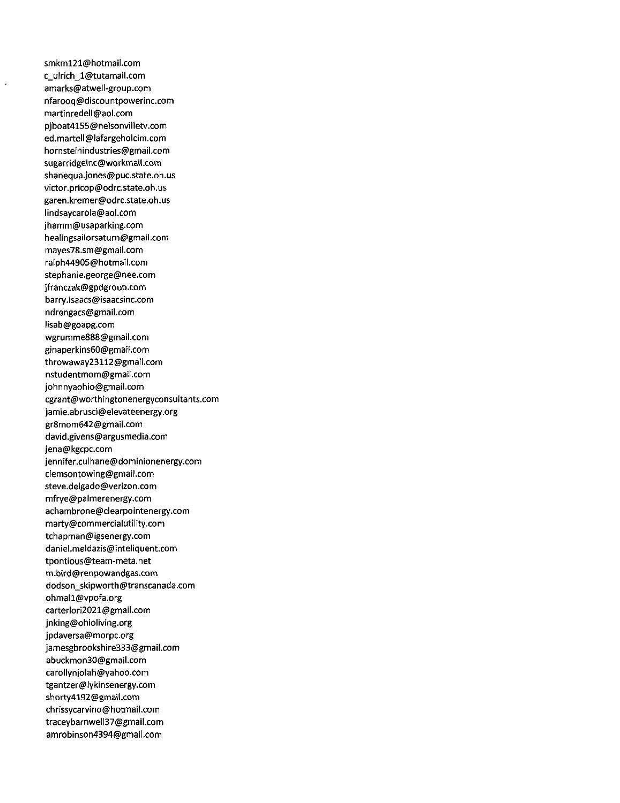smkml21(®hotmail.com c\_ulrich\_l@tutamail.com amarks@atwell-group.com nfarooq@discountpowerinc.com martinredell@aol.com pjboat4155@nelsonvilletv.com ed.martell@lafargeholcim.com hornsteinindustries@gmaii.com sugarridgeinc@workmail.com shanequa.Jones@puc.state.oh.us victor.pricop@odrc.state.oh.us garen.kremer@odrc.state.oh.us lindsaycarola@aol.com jhamm@usaparking.com healingsailorsaturn@gmail.com mayes78.sm@gmail.com ralph44905@hotmail.com stephanie.george@nee.com jfranczak@gpdgroup.com barry.isaacs@isaacsinc.com ndrengacs@gmail.com lisab@goapg.com wgrumme888@gmail.com ginaperkins60@gmail.com throwaway23112@gmail.com nstudentmom@gmail.com johnnyaohio@gmail.com cgrant@worthingtonenergyconsultants.com jamie.abrusci@elevateenergy.org gr8mom642@gmail.com david.givens@argusmedia.com jena@kgcpc.com jennifer.culhane@dominionenergy.com clemsontowing@gmail.com steve.delgado@verizon.com mfrye@palmerenergy.com achambrone@clearpointenergy.com marty@commercialutility.com tchapman@igsenergy.com daniel.meldazis@inteliquent.com tpontious@team-meta.net m.bird@rer\powandgas.com dodson\_skipworth@transcanada.com ohmall@vpofa.org carterlori2021@gmail.com jnking@ohioliving.org jpdaversa@morpc.org jamesgbrookshire333@gmail.com abuckmon30@gmail.com carollynjolah@yahoo.com tgantzer@lykinsenergy.com shorty4192@gmail.com chrissycarvino@hotmail.com traceybarnwell37@gmail.com amrobinson4394@gmail.com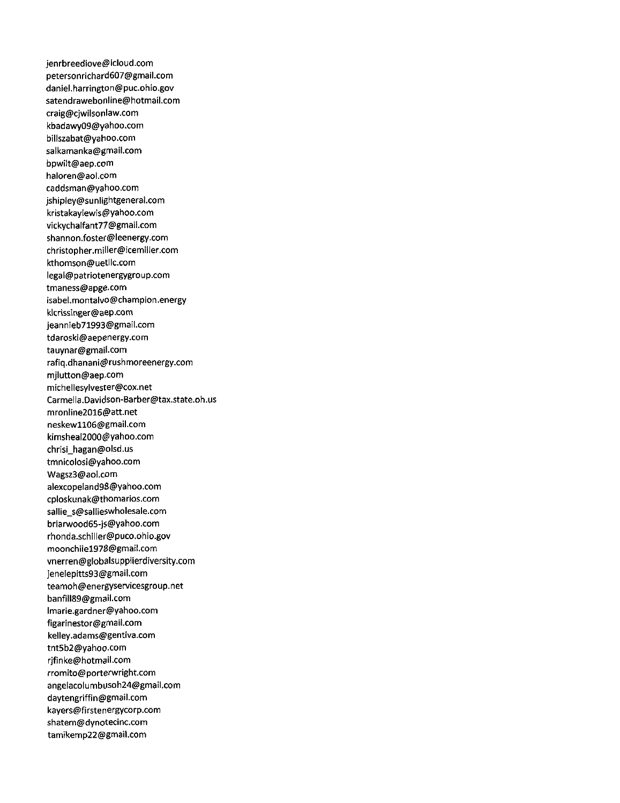jenrbreedlove@icloud.com petersonrichard607@gmail.com daniei.harrington@puc.ohio.gov satendrawebonline@hotmail.com craig@cjwiisonlaw.com kbadawy09@yahoo.com billszabat@yahoo.com salkamanka@gmaii.com bpwilt@aep.com haloren@aol.com caddsman@yahoo.com jshipley@sunlightgeneral.com kristakaylewis@yahoo.com vickychalfant77@gmail.com shannon.foster@leenergy.com christopher.miller@icemiller.com kthomson@uetllc.com legal@patriotenergygroup.com tmaness@apge.com isabel.montalvo@champion.energy klcrlssinger@aep.com jeannieb71993@gmail.com tdaroski@aepenergy.com tauynar@gmail.com rafiq.dhanani@rushmoreenergy.com mjlutton@aep.com michellesylvester@cox.net Carmella.Davidson-Barber@tax.state.oh.us mronline2016@att.net neskewll06@gmail.com kimsheal2000@yahoo.com chrisi\_hagan@olsd.us tmnicolosi@yahoo.com Wagsz3@aol.com alexcopeland98@yahoo.com cploskunak@thomarios.com sallie\_s@sallie5wholesale.com briarwood65-js@yahoo.com rhonda.schiller@puco.ohio.gov moonchiiel978@gmail.com vnerren@globalsupplierdiversity.com jenelepitts93@gmail.com teamoh@energyservicesgroup.net banfill89@gmail.com lmarie.gardner@yahoo.com figarinestor@gmaii.com kelley.adams@gentiva.com tnt5b2@yahoo.com rjfinke@hotmail.com rromlto@porterwright.com angelacolumbusoh24@gmail.com daytengriffin@gmail.com kayers@firstenergycorp.com shatem@dynotecinc.com tamikemp22@gmail.com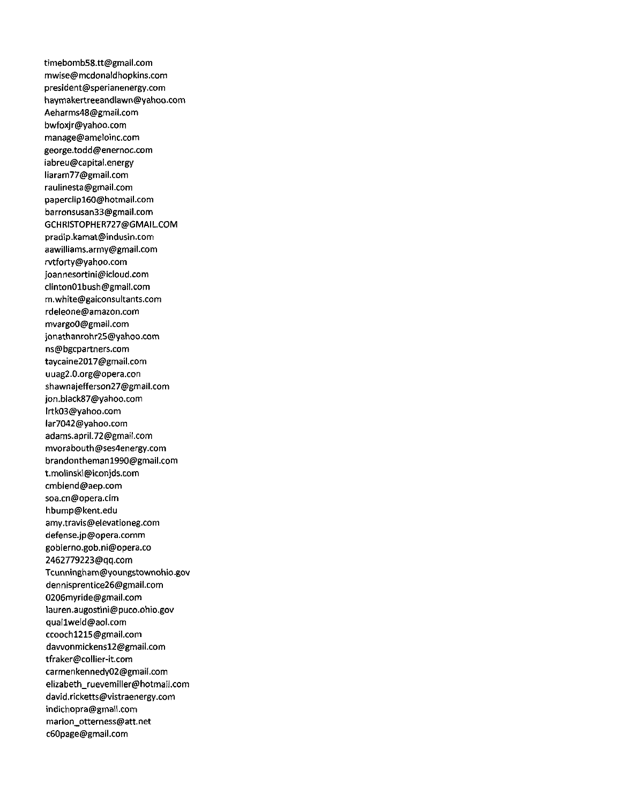timebomb58.tt@gmail.com mwise@mcdonaidhopkins.com president@sperianenergy.com haymakertreeandlawn@vahoo.com Aeharms48@gmail.com bwfoxjr@yahoo.com manage@ameloinc.com george.todd@enernoc.com iabreu@capital.energy Iiaram77@gmail.com raulinesta@gmail.com paperciipl60@hotmail.com barronsusan33@gmail.com GCHRISTOPHER727@6MAIL.COM pradip.kamat@indusin.com aawilliams.army@gmail.com rvtforty@yahoo.com joannesortini@icloud.com clinton01bush@gmail.com m.white@gaiconsultants.com rdeleone@amazon.com mvargoO@gmail.com jonathanrohr25@yahoo.com ns@bgcpartners.com taycaine2017@gmail.com uuag2.0.org@opera.con shawnajefferson27@gmail.com jon.biack87@yahoo.com Irtk03@yahoo.com iar7042@yahoo.com adams.april.72@gmail.com mvorabouth@ses4energy.com brandonthemanl990@gmail.com t.molinski@iconjds.com cmblend@aep.com soa.cn@opera.cim hbump@kent.edu amy.travis@elevationeg.com defense.jp@opera.comm gobierno.gob.ni@opera.co 2462779223@qq.com Tcunningham@youngstownohio.gov dennisprentice26@gmail.com 0206myride@gmail.com lauren.augostini@puco.ohio.gov quallweld@aol.com ccoochl215@gmaii.com dawonmickensl2@gmail.com tfraker@collier-it.com carmenkennedy02@gmail.com elizabeth\_ruevemiller@hotmail.com david.ricketts@vistraenergy.com indichopra@gmail.com marion\_otterness@att.net c60page@gmail.com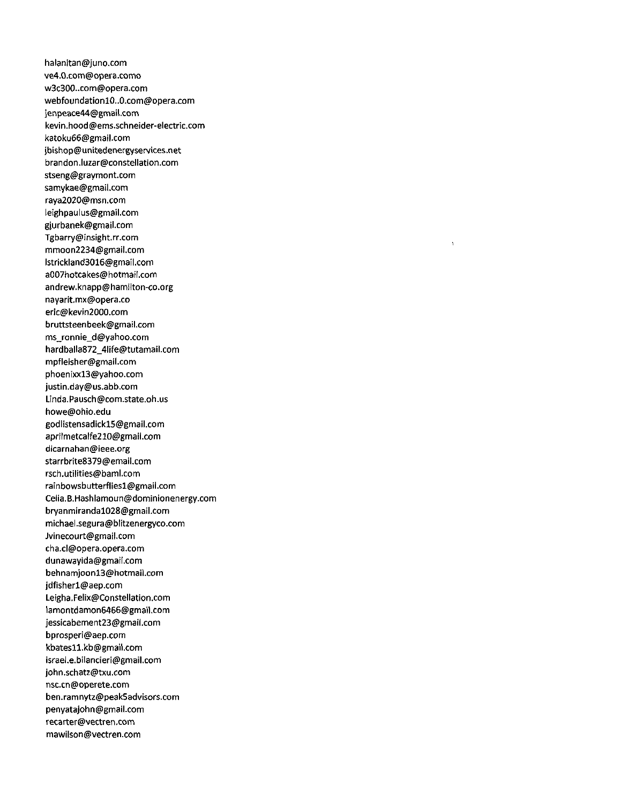halanitan@juno.com ve4.0.com@opera.como w3c300..com@opera.com webfoundationlO..O.com@opera.com jenpeace44@gmail.com kevin.hood@ems.schneider-electric.com katoku66@gmail.com jbishop@unitedenergyservices.net brandon.luzar@constellation.com stseng@graymont.com samykae@gmail.com raya2020@msn.com leighpaulus@gmail.com gjurbanek@gmail.com Tgbarry@insight.rr.com mmoon2234@gmail.com Istrickland3016@gmail.com a007hotcakes@hotmail.com andrew.knapp@hamilton-co.org nayarit.mx@opera.co eric@kevin2000.com bruttsteenbeek@gmail.com ms\_ronnie\_d@yahoo.com hardballa872\_4life@tutamail.com mpfleisher@gmail.com phoenixxl3@yahoo.com Justin.day@us.abb.com Linda.Pausch@com.state.oh.us howe@ohio.edu godlistensadickl5@gmail.com aprilmetcalfe210@gmail.com dlcarnahan@ieee.org starrbrite8379@email.com rsch.utilities@baml.com rainbowsbutterflies1@gmail.com Celia.B.Hashlamoun@dominionenergy.com bryanmirandal028@gmail.com michael.segura@blitzenergyco.com Jvinecourt@gmaii.com cha.cl@opera.opera.com dunawayida@gmail.com behnamjoonl3@hotmail.com jdfisherl@aep.com Leigha.Felix@Constellation.com lamontdamon6466@gmai).com jessicabement23@gmail.com bprosperi@aep.com kbatesll.kb@gmail.com israel.e.bilancieri@gmail.com john.schatz@txu.com nsc.cn@operete.com ben.ramnytz@peak5advisors.com penyatajohn@gmail.com recarter@vectren.com mawilson@vectren.com

 $\mathbf{r}$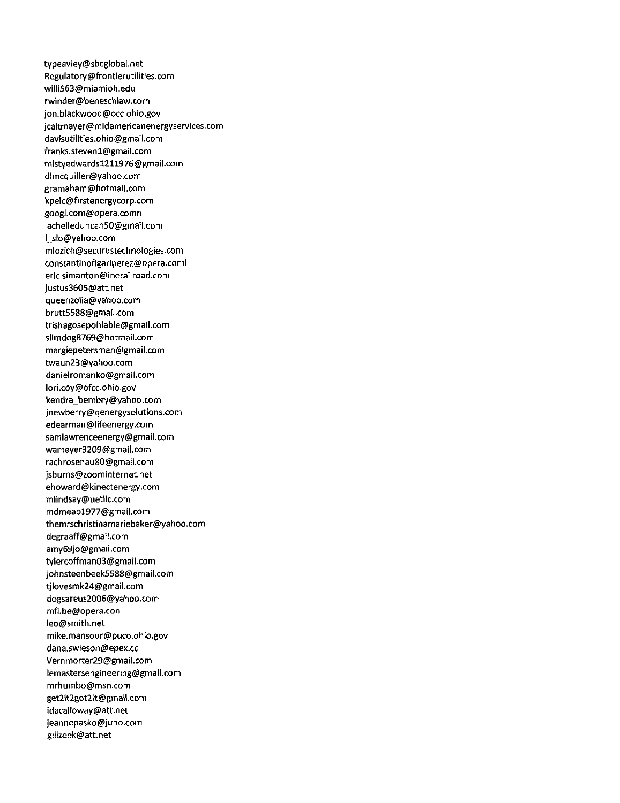typeavlev@sbcglobal.net Regulatory@frontierutilities.com willi563@miamioh.edu rwinder@beneschlaw.com jon.blackwood@occ.ohio.gov Jcaltmayer@midamericanenergyservices.com davisutilities.ohio@gmail.com franks.stevenl@gmail.com mistyedwardsl211976@gmail.com dlmcquiller@yahoo.com gramaham@hotmaii.com kpelc@firstenergycorp.com googl.com@opera.comn Iacheileduncan50@gmaii.com l\_slo@yahoo.com mlozich@securustechnologies.com constantinofigariperez@opera.coml eric.simanton@inerailroad.com justus3605@att.net queenzolia@yahoo.com brutt5588@gmail.com trishagosepohlable@gmail.com slimdog8769@hotmail.com margiepetersman@gmail.com twaun23@yahoo.com danielromanko@gmail.com lori.coy@ofcc.ohio.gov kendra\_bembrY@yahoo.com Jnewberry@qenergysolutions.com edearman@lifeenergy.com samlawrenceenergy@gmail.com wameyer3209@gmail.com rachrosenau80@gmail.com jsburns@zoominternet.net ehoward@kinectenergy.com mlindsay@uetllc.com mdmeapl977@gmail.com themrschristinamariebaker@yahoo.com degraaff@gmail.com amy69Jo@gmail.com tylercoffman03@gmail.com Johnsteenbeek5588@gmail.com tjlovesmk24@gmail.com dogsareus2006@vahoo.com mfi.be@opera.con leo@smith.net mike.mansour@puco.ohio.gov dana.swieson@epex.cc Vernmorter29@gmail.com lemastersengineering@gmail.com mrhumbo@msn.com get2it2got2it@gmall.com idacalloway@att.net Jeannepasko@juno.com gillzeek@att.net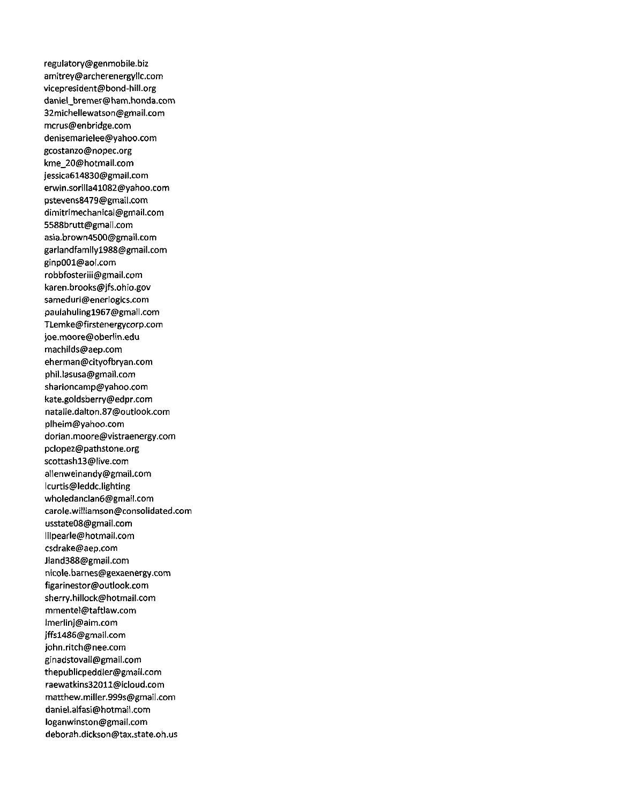regulatory@genmobile.biz amitrey@archerenergyllc.com vicepresident@bond-hill.org daniel\_bremer@ham.honda.com 32michellewatson@gmail.com mcrus@enbridge.com denisemarielee@yahoo.com gcostanzo@nopec.org kme\_20@hotmail.com jessica614830@gmail.com erwin.sorllla41082@yahoo.com pstevens8479@gmail.com dimitrimechanical@gmail.com 5588brutt@gmail.com asia.brown4500@gmail.com garlandfamilyl988@gmail.com ginp001@aol.com robbfosteriii@gmail.com karen.brooks@Jfs.ohio.gov sameduri@enerlogics.com paulahulingl967@gmail.com TLemke@firstenergycorp.com joe.moore@oberlin.edu machilds@aep.com eherman@cityofbryan.com phil.lasusa@gmail.com sharioncamp@yahoo.com kate.goldsberry@edpr.com natalie.dalton.87@outlook.com plheim@yahoo.com dorian.moore@vistraenergy.com pclopez@pathstone.org scottashl3@live.com allenweinandY@gmail.com lcurtis@leddc.lighting wholedanclan6@gmail.com carole.williamson@consolidated.com usstate08@gmail.com lilpearle@hotmail.com csdrake@aep.com Jland388@gmaii.com nicole.barnes@gexaenergy.com figarinestor@outlook.com sherry.hillock@hotmail.com mmentel@taftlaw.com lmerlinj@aim.com jffsl486@gmail.com john.ritch@nee.com ginadstovail@gmail.com thepubiicpeddler@gmali.com raewatkins32011@icioud.com matthew.miller.999s@gmail.com daniel.alfasi@hotmail.com ioganwinston@gmail.com deborah.dickson@tax.state.oh.us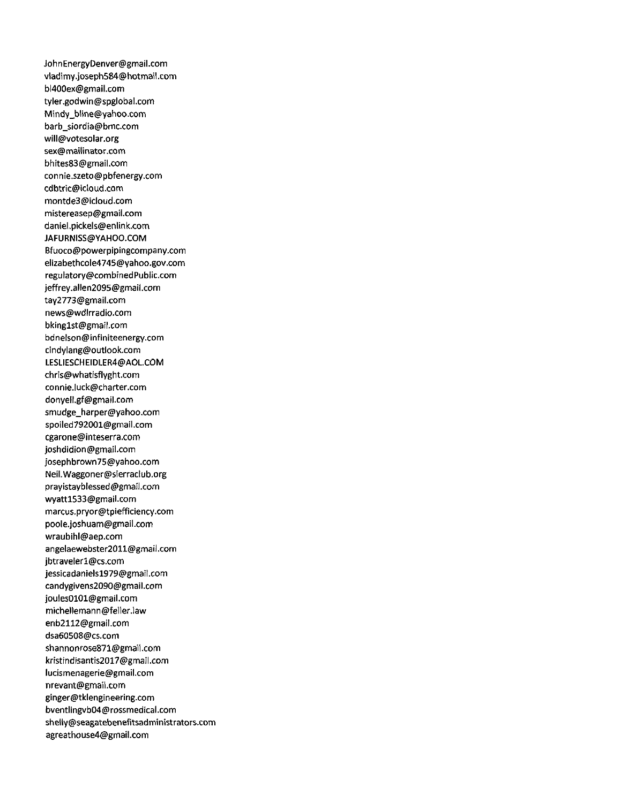JohnEnergyDenver@gmail.com vladimy.joseph584@hotmail.com bl400ex@gmail.com tyler.godwin@spglobai.com Mindy\_bline@yahoo.com barb\_siordia@bmc.com will@votesolar.org sex@mailinator.com bhites83@gmail.com connie.szeto@pbfenergy.com cdbtric@icloud.com montde3@icloud.com mistereasep@gmail.com daniel.pickels@enlink.com JAFURNISS@YAHOO.COM Bfuoco@powerpipingcompany.com elizabethcole4745@yahoo.gov.com regulatory@combinedPublic.com jeffrey.allen2095@gmail.com tay2773@gmail.com news@wdlrradio.com bkinglst@gmail.com bdnelson@infiniteenergy.com cindylang@outlook.com LESLIESCHEIDLER4@AOL.COM chris@whatisflyght.com connie.luck@charter.com donyell.gf@gmail.com smudge\_harper@yahoo.com spoiled792001@gmail.com cgarone@inteserra.com Joshdidion@gmail.com josephbrown75@yahoo.com Neil.Waggoner@sierraclub.org prayistayblessed@gmail.com wyattl533@gmail.com marcus.pryor@tpiefficiency.com poole.joshuam@gmail.com wraubihl@aep.com angelaewebster2011@gmail.com jbtravelerl@cs.com jessicadanielsl979@gmail.com candygivens2090@gmail.com joules0101@gmail.com michellemann@feller.law enb2112@gmail.com dsa60508@cs.com shannonrose871@gmail.com kristindisantis2017@gmail.com lucismenagerie@gmail.com nrevant@gmail.com ginger@tklengineering.com bventlingvb04@rossmedicai.com shelly@seagatebenefitsadministrators.com agreathouse4@gmail.com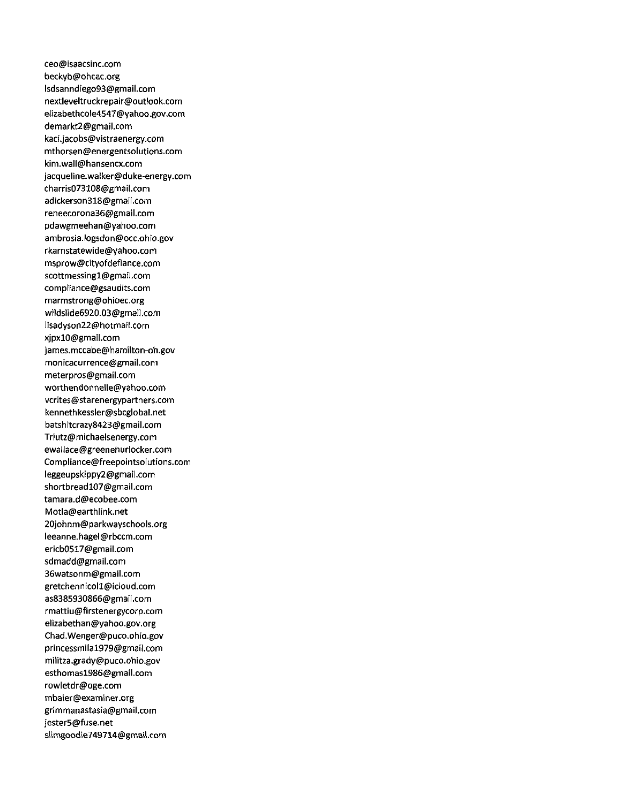ceo@isaacsinc.com beckyb@ohcac.org lsdsanndiego93@gmail.com nextleveltruckrepair@outlook.com elizabethcole4547@yahoo.gov.com demarkt2@gmail.com kaci.jacobs@vistraenergy.com mthorsen@energentsolutions.com kim.wall@hansencx.com Jacqueline.waiker@duke-energy.com charris073108@gmail.com adickerson318@gmail.com reneecorona36@gmail.com pdawgmeehan@yahoo.com ambrosia.logsdon@occ.ohio.gov rkarnstatewide@yahoo.com msprow@cityofdefiance.com scottmessingl@gmail.com compliance@gsaudits.com marmstrong@ohioec.org wl)dslide6920.03@gmail.com lisadyson22@hotmail.com xjpxl0@gmail.com james.mccabe@hamilton-oh.gov monicacurrence@gmail.com meterpros@gmail.com worthendonnelle@yahoo.com vcrites@starenergypartners.com kennethkessler@sbcglobal.net batshitcrazy8423@gmail.com Trlutz@michaelsenergy.com ewallace@greenehurlocker.com Compliance@freepointsolutions.com Ieggeupskippy2@gmail.com shortbreadl07@gmail.com tamara.d@ecobee.com Motla@earthlink.net 20johnm@parkwayschools.org leeanne.hagel@rbccm.com ericb0517@gmail.com sdmadd@gmail.com 36watsonm@gmail.com gretchennicoll@icloud.com as8385930866@gmail.com rmattiu@firstenergycorp.com elizabethan@yahoo.gov.org Chad.Wenger@puco.ohio.gov princessmilal979@gmail.com militza.grady@puco.ohio.gov esthomasl986@gmail.com rowletdr@oge.com mbaier@examiner.org grimmanastasia@gmail.com Jester5@fuse.net slimgoodie749714@gmail.com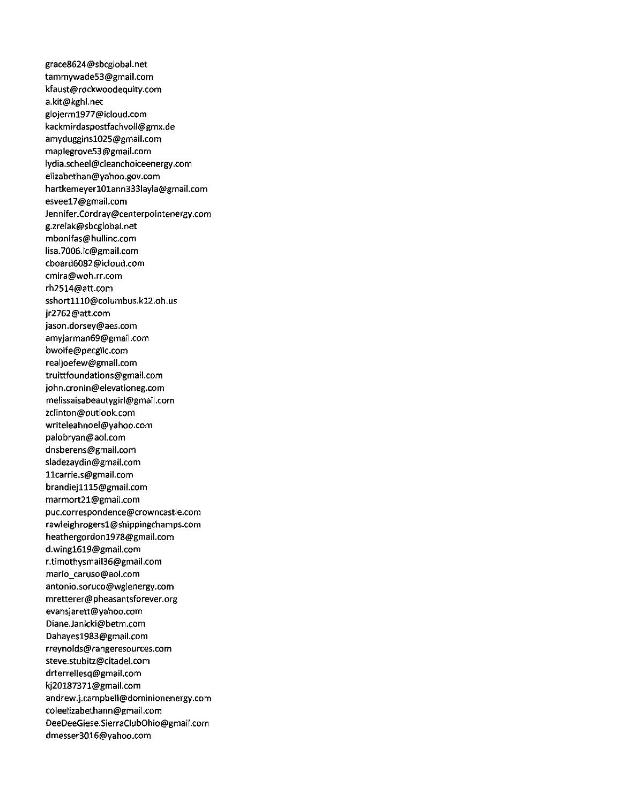grace8624@sbcglobal.net tammywade53@gmail.com kfaust@rockwoodequity.com a.kit@kghl.net glojerml977@icloud.com kackmirdaspostfachvoll@gmx.de amydugginsl025@gmail.com maplegrove53@gmail.com lydia.scheel@deanchoiceenergy.com elizabethan@yahoo.gov.com hartkemeyerl01ann333layla@gmail.com esveel7@gmail.com Jennifer.Cordray@centerpointenergy.com g.zrelak@sbcglobal.net mbonifas@hullinc.com lisa.7006.lc@gmail.com cboard6082@icloud.com cmira@woh.rr.com rh2514@att.com sshort1110@columbus.k12.oh.us jr2762@att.com jason.dorsey@aes.com amyjarman69@gmail.com bwolfe@pecgllc.com realjoefew@gmail.com truittfoundations@gmail.com john.cronin@elevationeg.com melissaisabeautygirl@gmail.com zclinton@outlook.com writeleahnoel@yahoo.com palobryan@aol.com dnsberens@gmail.com sladezaydin@gmail.com llcarrie.s@gmail.com brandiejlll5@gmaii.com marmort21@gmail.com puc.correspondence@crowncastle.com rawleighrogersl@shippingchamps.com heathergordonl978@gmail.com d.wingl6l9@gmail.com r.timothysmail36@gmail.com mario\_caruso@aol.com antonio.soruco@wglenergy.com mretterer@pheasantsforever.org evansjarett@yahoo.com Diane.Janicki@betm.com Dahayesl983@gmail.com rreynolds@rangeresources.com steve.stubitz@citadel.com drterreilesq@gmail.com kj20187371@gmail.com andrew.j.campbell@dominionenergy.com coleelizabethann@gmail.com DeeDeeGiese.SierraClubOhio@gmail.com dmesser3016@yahoo.com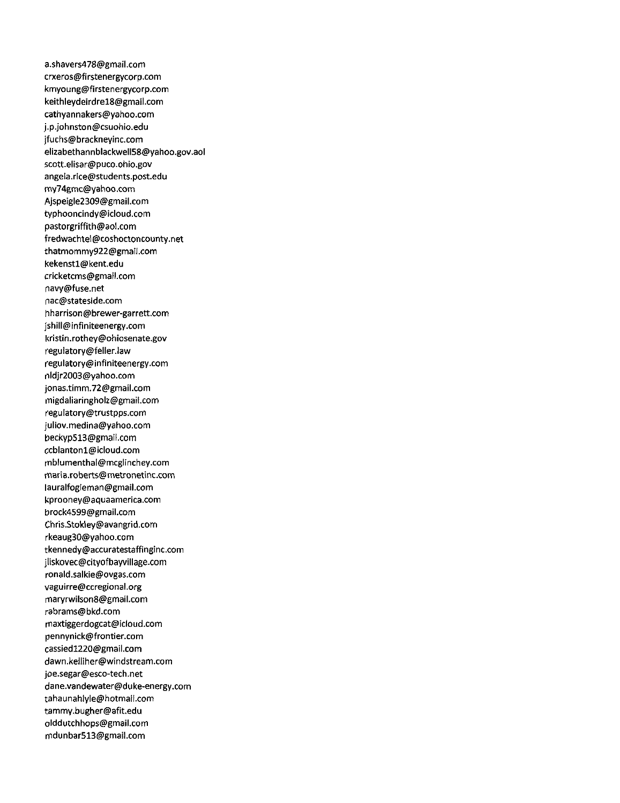a.shavers478@gmail.com crxeros@firstenergycorp.com kmyoung@firstenergycorp.com keithleydeirdrel8@gmail.com cathyannakers@yahoo.com j.p.johnston@csuohio.edu jfuchs@brackneyinc.com elizabethannblackwell58@yahoo.gov.aol scott.elisar@puco.ohio.gov angela.rice@students.post.edu my74gmc@yahoo.com Ajspeigle2309@gmail.com typhooncindy@icloud.com pastorgriffith@aol.com fredwachtel@coshoctoncounty.net thatmommy922@gmail.com kekenstl@kent.edu cricketcms@gmail.com navy@fuse.net nac@stateside.com hharrison@brewer-garrett.com jshill@infiniteenergy.com kristin.rothey@ohiosenate.gov regulatory@felier.law regulatory@infiniteenergy.com nldjr2003@yahoo.com jonas.timm.72@gmail.com migdaliaringholz@gmaii.com regulatory@trustpps.com juliov.medina@yahoo.com beckyp513@gmail.com ccblantonl@icloud.com mblumenthal@mcglinchey.com mana.roberts@metronetinc.com lauralfogleman@gmail.com kprooney@aquaamerica.com brock4599@gmail.com Chris.Stokley@avangrid.com rkeaug30@yahoo.com tkennedy@accuratestaffinginc.com jliskovec@cityofbayvillage.com ronald.salkie@ovgas.com vaguirre@ccregional.org maryrwilson8@gmail.com rabrams@bkd.com maxtiggerdogcat@icloud.com pennynick@frontier.com cassiedl220@gmail.com dawn.kelliher@windstream.com joe.segar@esco-tech.net dane.vandewater@duke-energy.com tahaunahlyle@hotmail.com tammy.bugher@afit.edu olddutchhops@gmail.com mdunbar513@gmail.com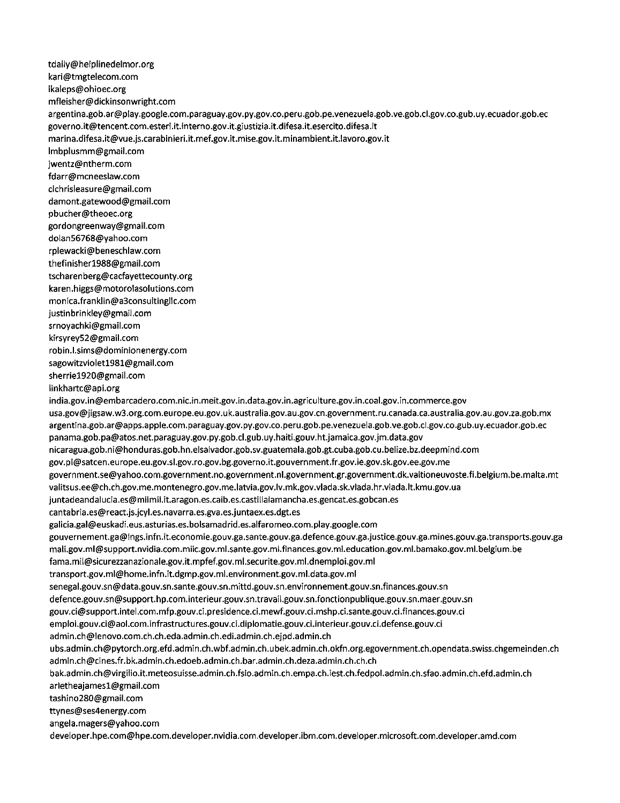tdaily@heiplinedelmor.org kari@tmgtelecom.com lkaleps@ohioec.org mfleisher@dickinsonwright.com argentina.gob.ar@play.google.com.paraguay.gov.py.gov.co.peru.gob.pe.venezuela.gob.ve.gob.cl.gov.co.gub.uy.ecuador.gob.ee governo.it@tencent.com.esteri.it.interno.gov.it.giustizia.it.difesa.it.esercito.difesa.it marina.difesa.it@vue.js.carabinieri.it.mef.gov.it.mise.gov.it.minambient.it.lavoro.gov.it lmbplusmm@gmail.com jwentz@ntherm.com fdarr@mcneeslaw.com clchrisleasure@gmail.com damont.gatewood@gmail.com pbucher@theoec.org gordongreenway@gmail.com dolan56768@yahoo.com rplewacki@beneschlaw.com thefinisherl988@gmail.com tscharenberg@cacfayettecounty.org karen.higgs@motorolasolutions.com monica.franklin@a3consultingllc.com Justinbrinkley@gmail.com srnoyachki@gmail.com kirsyrey52@gmail.com robin.l.sims@dominionenergy.com sagowitzvioletl981@gmail.com sherriel920@gmail.com linkhartc@api.org india.gov.in@embarcadero.com.nic.in.meit.gov.in.data.gov.in.agriculture.gov.in.coal.gov.in.commerce.gov usa.gov@jigsaw.w3.org.com.europe.eu.gov.uk.australia.gov.au.gov.cn.government.ru.canada.ca.australia.gov.au.gov.za.gob.mx argentina.gob.ar@apps.apple.com.paraguay.gov.py.gov.co.peru.gob.pe.venezuela.gob.ve.gob.cl.gov.co.gub.uy.ecuador.gob.ee panama.gob.pa@atos.net.paraguay.gov.py.gob.cl.gub.uy.haiti.gouv.ht.jamaica.gov.jm.data.gov nicaragua.gob.ni@honduras.gob.hn.elsalvador.gob.sv.guatemala.gob.gt.cuba.gob.cu.belize.bz.deepmind.com gov.p[@satcen.europe.eu.gov.sl.gov.ro.gov.bg.governo.it.gouvernment.fr.gov.ie.gov.sk.gov.ee.gov.me government.se@yahoo.com.government.no.government.nl.government.gr.government.dk.valtioneuvoste.fi.belgium.be.malta.mt vaiitsus.ee@ch.ch.gov.me.montenegro.gov.me.latvia.gov.lv.mk.gov.vlada.sk.vlada.hr.vlada.lt.kmu.gov.ua Juntadeandalucla.es@miimii.it.aragon.es.caib.es.castillalamancha.es.gencat.es.gobcan.es cantabria.es@react.js.jcyi.es.navarra.es.gva.es.juntaex.es.dgt.es gaiicia.gai@euskadi.eus.asturias.es.boisamadrid.es.alfaromeo.com.piay.googie.com gouvernement.ga@lngs.infn.it.economie.gouv.ga.sante.gouv.ga.defence.gouv.ga.justice.gouv.ga.mines.gouv.ga.transports.gouv.ga mali.gov.mi@support.nvidia.com.miic.gov.mi.sante.gov.ml.finances.gov.ml.education.gov.mi.bamako.gov.mi.beigium.be fama.mil@sicurezzanazionaie.gov.it.mpfef.gov.ml.securite.gov.mi.dnempioi.gov.mi transport.gov.mi@home.infn.it.dgmp.gov.ml.environment.gov.mi.data.gov.mi senegai.gouv.sn@data.gouv.sn.sante.gouv.sn.mittd.gouv.sn.environnement.gouv.sn.finances.gouv.sn defence.gouv.sn@support.hp.com.interieur.gouv.sn.travail.gouv.sn.fonctionpubiique.gouv.sn.maer.gouv.sn gouv.ci@support.intel.com.mfp.gouv.ci.presidence.ci.mewf.gouv.ci.mshp.ci.sante.gouv.ci.finances.gouv.ci emploi.gouv.ci@aol.com.infrastructures.gouv.ci.dipiomatie.gouv.ci.interieur.gouv.ci.defense.gouv.ci admin.ch@ienovo.com.ch.ch.eda.admin.ch.edi.admin.ch.ejpd.admin.ch ubs.admin.ch@pytorch.org.efd.admin.ch.wbf.admin.ch.ubek.admin.ch.okfn.org.egovernment.ch.opendata.swiss.chgemeinden.ch admin.ch@cines.fr.bk.admin.ch.edoeb.admin.ch.bar.admin.ch.deza.admin.ch.ch.ch bak.admin.ch@virgilio.it.meteosuisse.admin.ch.fsio.admin.ch.empa.ch.iest.ch.fedpol.admin.ch.sfao.admin.ch.efd.admin.ch arletheajamesl@gmail.com tashino280@gmail.com ttynes@ses4energy.com angela.magers@yahoo.com developer.hpe.com@hpe.com.developer.nvidia.com.developer.ibm.com.developer.microsoft.com.developer.amd.com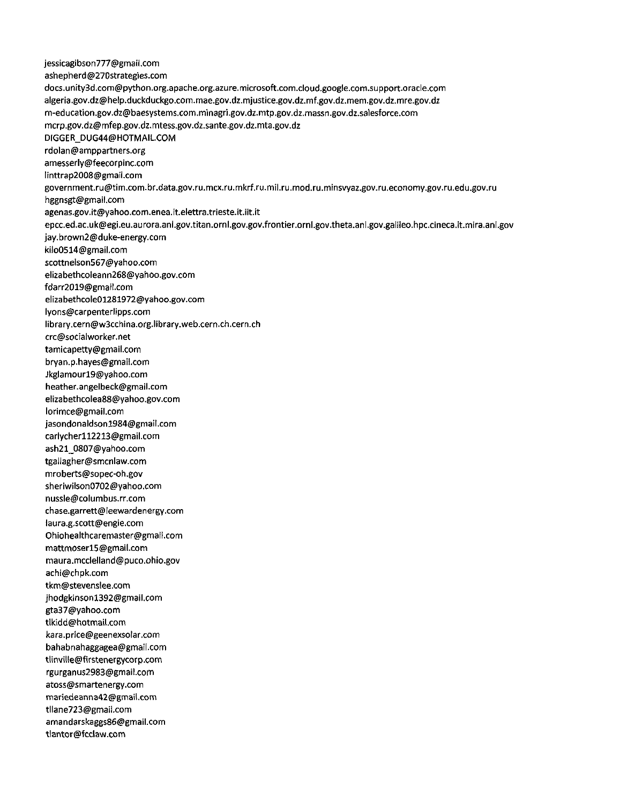jessicagibson777@gmail.com ashepherd@270strategies.com docs.unity3d.com@python.org.apache.org.azure.microsoft.com.cloud.google.com.support.oracle.com algeria.gov.dz@help.duckduckgo.com.mae.gov.dz.mjustice.gov.dz.mf.gov.dz.mem.gov.dz.mre.gov.dz m-education.gov.dz@baesystems.com.minagri.gov.dz.mtp.gov.dz.massn.gov.dz.salesforce.com mcrp.gov.dz@mfep.gov.dz.mtess.gov.dz.sante.gov.dz.mta.gov.dz DiGGER\_DUG44@HOTMAIL.COM rdolan@amppartners.org amesserly@feecorpinc.com Iinttrap2008@gmaii.com government.ru@tim.com.br.data.gov.ru.mcx.ru.mkrf.ru.mil.ru.mod.ru.minsvyaz.gov.ru.economy.gov.ru.edu.gov.ru hggnsgt@gmail.com agenas.gov.it@yahoo.com.enea.it.elettra.trieste.it.iit.it epcc.ed.ac.uk@egi.eu.aurora.ani.gov.titan.ornl.gov.gov.frontier.ornl.gov.theta.anl.gov.galiieo.hpc.cineca.it.mira.anl.gov Jay.brown2@duke-energy.com kilo0514@gmail.com scottneison567@yahoo.com elizabethcoieann268@yahoo.gov.com fdarr2019@gmail.com elizabethcole01281972@yahoo.gov.com lyons@carpenterlipps.com library.cern@w3cchina.org.library.web.cern.ch.cern.ch crc@socialworker.net tamicapetty@gmail.com bryan.p.hayes@gmail.com Jkglamourl9@yahoo.com heather.angelbeck@gmail.com elizabethcolea88@yahoo.gov.com lorimce@gmail.com jasondonaldson1984@gmail.com cariycherll2213@gmail.com ash21\_0807@yahoo.com tgallagher@smcnlaw.com mroberts@sopec-oh.gov sheriwilson0702@yahoo.com nussle@columbus.rr.com chase.garrett@leewardenergy.com laura.g.scott@engie.com Ohiohealthcaremaster@gmail.com mattmoserl5@gmail.com maura.mcclelland@puco.ohio.gov achi@chpk.com tkm@stevenslee.com jhodgkinsonl392@gmail.com gta37@yahoo.com tlkidd@hotmail.com kara.price@geenexsolar.com bahabnahaggagea@gmail.com tlinville@firstenergycorp.com rgurganus2983@gmail.com atoss@smartenergy.com mariedeanna42@gmail.com tllane723@gmail.com amanddrskaggs86@gmail.com tlantor@fcclaw.com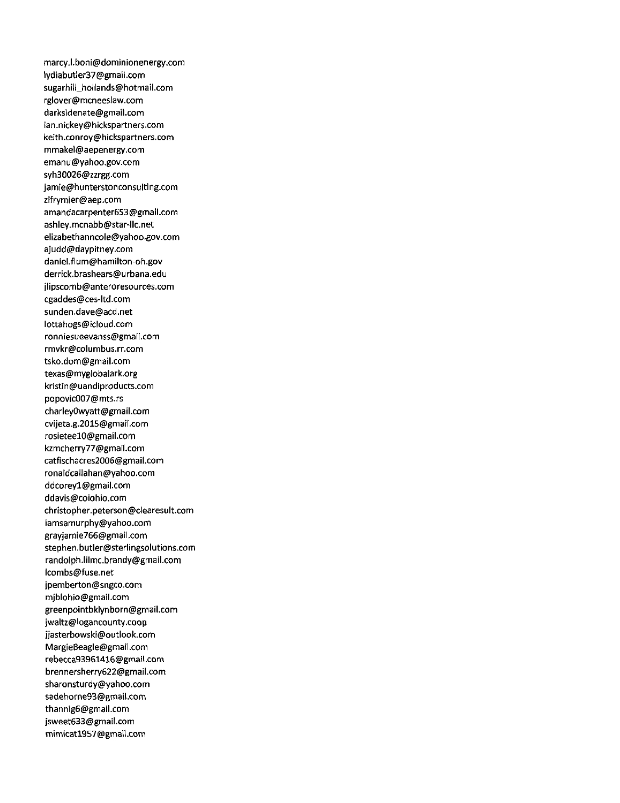marcy.l.boni@dominionenergy.com lydiabutler37@gmail.com sugarhlll\_hollands@hotmail.com rglover@mcneeslaw.com darksidenate@gmail.com ian.nickey@hickspartners.com keith.conroy@hickspartners.com mmakel@aepenergy.com emanu@yahoo.gov.com syh30026@zzrgg.com jamie@hunterstonconsulting.com zlfrymier@aep.com amandacarpenter653@gmail.com ashley.mcnabb@star-llc.net elizabethanncole@yahoo.gov.com ajudd@daypitney.com daniel.flum@hamilton-oh.gov derrick.brashears@urbana.edu jlipscomb@anteroresources.com cgaddes@ces-ltd.com sunden.dave@acd.net lottahogs@icloud.com ronniesueevanss@gmail.com rmvkr@columbus.rr.com tsko.dom@gmail.com texas@myglobalark.org kristin@uandiproducts.com popovic007@mts.rs charleyOwyatt@gmail.com cvijeta.g.2015@gmail.com rosieteelO@gmail.com kzmcherry77@gmail.com catfischacres2006@gmail.com ronaldcallahan@yahoo.com ddcoreyl@gmail.com ddavis@coiohio.com chrlstopher.peterson@clearesult.com iamsamurphy@yahoo.com grayjamie766@gmail.com stephen.butler@sterlingsolutions.com randoiph.lilmc.brandy@gmail.com lcombs@fuse.net ipemberton@sngco.com mjblohio@gmaii.com greenpointbklynborn@gmail.com jwaltz@logancounty.coop jjasterbowski@outlook.com MargieBeagle@gmail.com rebecca93961416@gmail.com brennersherry622@gmall.com sharonsturdy@yahoo.com sadehorne93@gmall.com thannig6@gmail.com jsweet633@gmail.com mimicatl957@gmail.com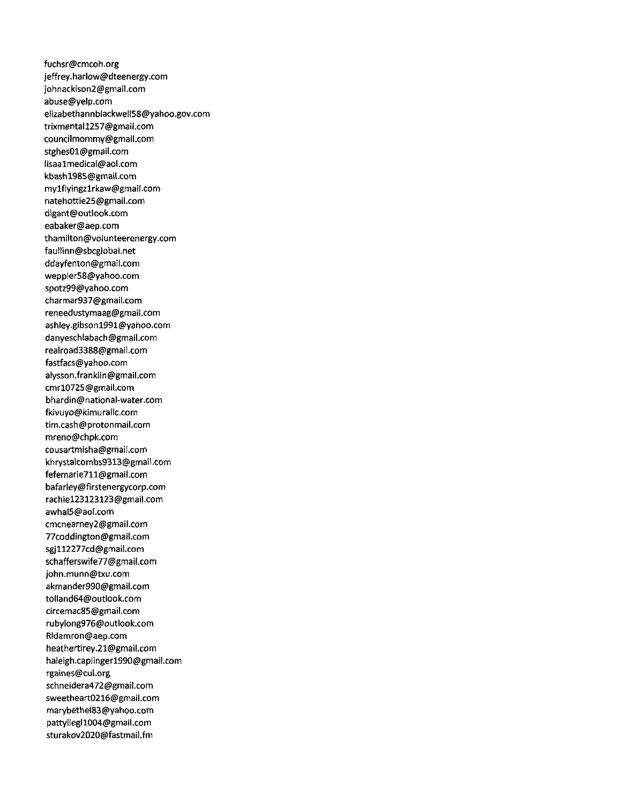fuchsr@cmcoh.org Jeffrey.harlow@dteenergy.com johnackison2@gmail.com abuse@yelp.com elizabethannblackwell58@yahoo.gov.com trixmentall257@gmail.com councilmommy@gmail,com stghes01@gmail.com lisaalmedical@aol.com kbashl985@gmail.com mylflyingzlrkaw@gmail.com natehottie25@gmail.com dlgant@outlook.com eabaker@aep.com thamilton@voiunteerenergy.com faullinn@sbcglobal.net ddayfenton@gmail.com weppler58@yahoo.com spotz99@yahoo.com charmar937@gmail.com reneedustymaag@gmail.com ashley.gibsonl991@yahoo.com danyeschlabach@gmail.com realroad3388@gmail.com fastfacs@yahoo.com alysson.franklin@gmail.com cmrl0725@gmail.com bhardin@national-water.com fkivuyo@kimurallc.com tim.cash@protonmail.com mreno@chpk.com cousartmisha@gmail.com khrystalcombs9313@gmail.com fefemarie711@gmail.com bafarley@firstenergycorp.com rachiel23123123@gmail.com awhal5@aol.com cmcnearney2@gmail.com 77coddington@gmail.com sgjll2277cd@gmail.com schafferswife77@gmail.com john.munn@txu.com akmander990@gmail.com tolland64@outlook.com circemac85@gmail.com rubylong976@outlook.com Rldamron@aep.com heathertirey.21@gmail.com haleigh.caplingerl990@gmail.com rgaines@cul.org schneidera472@gmail.com sweetheart0216@gmail.com marybethel83@yahoo.com pattyliegll004@gmail.com sturakov2020@fastmail.fm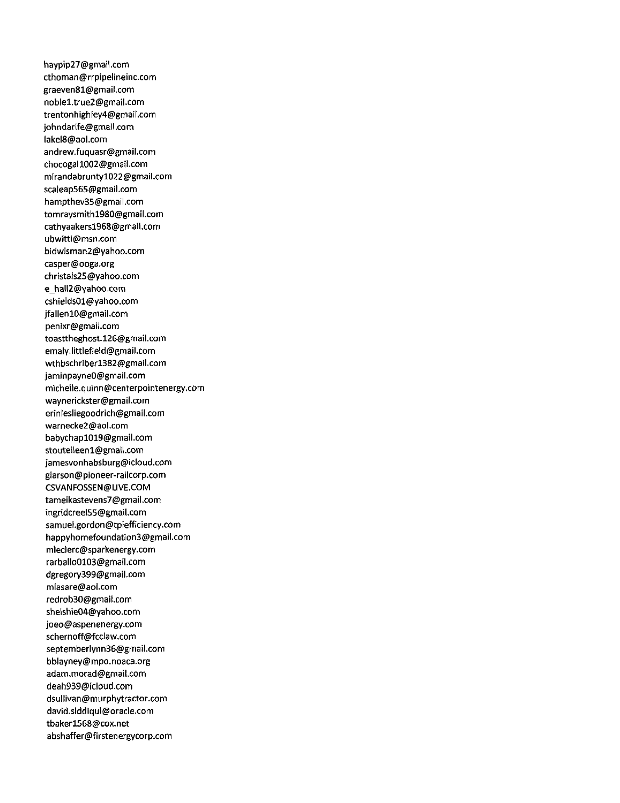haypip27@gmaii.com cthoman@rrpipelineinc.com graeven81@gmail.com noblel.true2@gmail.com trentonhighiey4@gmail.com johndarife@gmail.com lakel8@aol.com andrew.fuquasr@gmail.com chocogall002@gmaii.com mirandabruntyl022@gmail.com scaleap565@gmail.com hampthev35@gmail.com tomraysmithl980@gmail.com cathyaakersl968@gmall.com ubwitti@msn.com bidwisman2@yahoo.com casper@ooga.org christats25@yahoo.com e\_hall2@yahoo.com cshields01@yahoo.com jfallen10@gmail.com penixr@gmail.com toasttheghost.126@gmail.com emalY.littlefield@gmail.com wthbschrlberl382@gmail.com JaminpayneO@gmail.com michelle.quinn@centerpointenergy.com waynerickster@gmail.com erinlesliegoodrich@gmail.com warnecke2@aol.com babychapl019@gmail.com stouteileenl@gmail.com Jamesvonhabsburg@icloud.com glarson@pioneer-railcorp.com CSVANFOSSEN@LIVE.COM tameikastevens7@gmail.com ingridcreel55@gmail.com samuel.gordon@tpiefficiency.com happyhomefoundation3@gmail.com mleclerc@sparkenergy.com rarballo0103@gmail.com dgregory399@gmail.com mlasare@aoi.com redrob30@gmail.com shelshie04@yahoo.com Joeo@aspenenergy.com schernoff@fcdaw.com septemberlynn36@gmail.com bblayney@mpo.noaca.org adam.morad@gmail.com deah939@idoud.com dsullivan@murphytractor.com david.siddiqui@oracle.com tbakerl568@cox.net abshaffer@firstenergycorp.com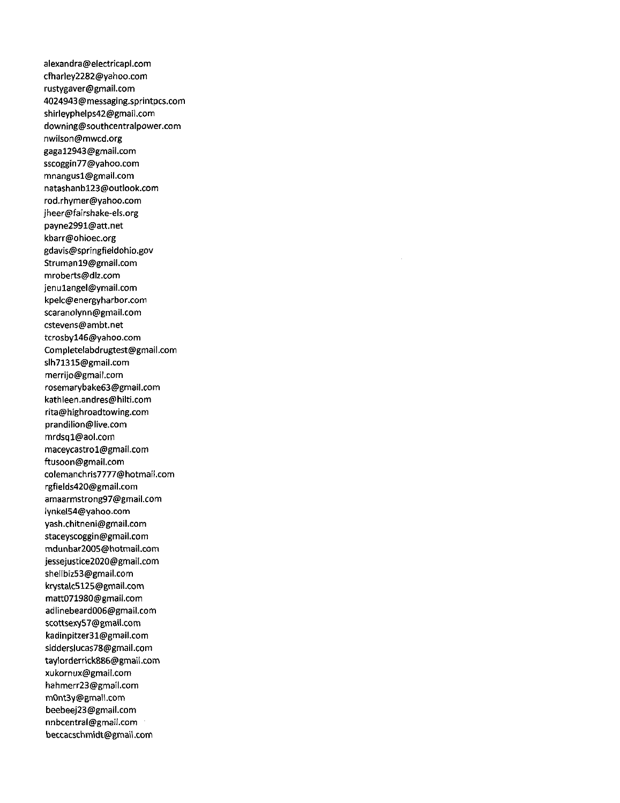alexandra@electricapl.com cfharley2282@yahoo.com rustygaver@gmail.com 4024943@messaging.sprintpcs.com shirleyphelps42@gmail.com downing@southcentralpower.com nwilson@mwcd.org gagal2943@gmail.com sscoggin77@yahoo.com mnangusl@gmail.com natashanbl23@outlook.com rod.rhymer@yahoo.com Jheer@falrshake-els.org payne2991@att.net kbarr@ohioec.org gdavis@springfieidohio.gov Strumanl9@gmail.com mroberts@dlz.com Jenulangel@ymail.com kpelc@energyharbor.com scaranolynn@gmail.com cstevens@ambt.net tcrosbyl46@yahoo.com Completelabdrugtest@gmail.com slh71315@gmail.com merrijo@gmaii.com rosemarybake63@gmail.com kathleen.andres@hilti.com rita@highroadtowing.com prandilion@live.com mrdsql@aol.com maceycastrol@gmail.com ftusoon@gmaii.com colemanchris7777@hotmail.com rgfields420@gmail.com amaarmstrong97@gmail.com lynkel54@yahoo.com yash.chitneni@gmail.com staceyscoggin@gmail.com mdunbar2005@hotmail.com jessejustice2020@gmail.com shellbiz53@gmail.com krvstalc5125@gmail.com matt071980@gmail.com adlinebeard006@gmail.com scottsexy57@gmail.com kadinpitzer31@gmail.com sidderslucas78@gmail.com taylorderrick886@gmail.com xukornux@gmail.com hahmerr23@gmail.com m0nt3v@gmail.com beebeej23@gmail.com nnbcentral@gmail.com beccacschmidt@gmail.com